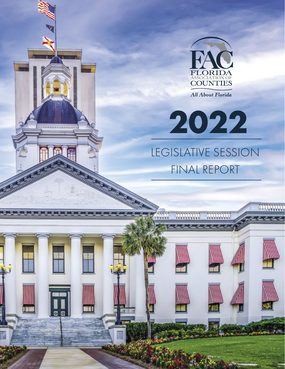

**All About Florida** 

**2022**  LEGISLATIVE SESSION FINAL REPORT

**NOWWOOD** 

**NOONDOOR** 

......

 $\overline{a}$ 

.........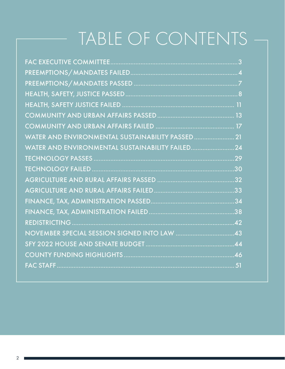# TABLE OF CONTENTS

| WATER AND ENVIRONMENTAL SUSTAINABILITY PASSED 21 |  |
|--------------------------------------------------|--|
| WATER AND ENVIRONMENTAL SUSTAINABILITY FAILED 24 |  |
|                                                  |  |
|                                                  |  |
|                                                  |  |
|                                                  |  |
|                                                  |  |
|                                                  |  |
|                                                  |  |
|                                                  |  |
|                                                  |  |
|                                                  |  |
|                                                  |  |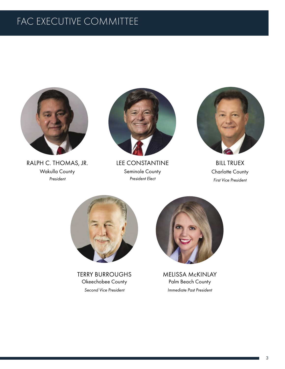## FAC EXECUTIVE COMMITTEE



RALPH C. THOMAS, JR. Wakulla County *President* 



LEE CONSTANTINE Seminole County *President Elect* 



BILL TRUEX Charlotte County *First Vice President*



TERRY BURROUGHS Okeechobee County *Second Vice President*



MELISSA McKINLAY Palm Beach County *Immediate Past President*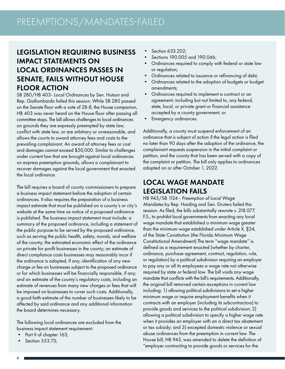#### LEGISLATION REQUIRING BUSINESS IMPACT STATEMENTS ON LOCAL ORDINANCES PASSES IN SENATE, FAILS WITHOUT HOUSE FLOOR ACTION

SB 280/HB 403- *Local Ordinances* by Sen. Hutson and Rep. Giallombardo failed this session. While SB 280 passed on the Senate floor with a vote of 28-8, the House companion, HB 403 was never heard on the House floor after passing all committee stops. The bill allows challenges to local ordinances on grounds they are expressly preempted by state law, conflict with state law, or are arbitrary or unreasonable, and allows the courts to award attorney fees and costs to the prevailing complainant. An award of attorney fees or cost and damages cannot exceed \$50,000. Similar to challenges under current law that are brought against local ordinances on express preemption grounds, allows a complainant to recover damages against the local government that enacted the local ordinance.

The bill requires a board of county commissioners to prepare a business impact statement before the adoption of certain ordinances. It also requires the preparation of a business impact estimate that must be published on a county's or city's website at the same time as notice of a proposed ordinance is published. The business impact statement must include: a summary of the proposed ordinance, including a statement of the public purpose to be served by the proposed ordinance, such as serving the public health, safety, morals, and welfare of the county; the estimated economic effect of the ordinance on private for-profit businesses in the county; an estimate of direct compliance costs businesses may reasonably incur if the ordinance is adopted, if any; identification of any new charge or fee on businesses subject to the proposed ordinance or for which businesses will be financially responsible, if any; and an estimate of the county's regulatory costs, including an estimate of revenues from many new charges or fees that will be imposed on businesses to cover such costs. Additionally, a good faith estimate of the number of businesses likely to be affected by said ordinance and any additional information the board determines necessary.

The following local ordinances are excluded from the business impact statement requirement:

- Part II of chapter 163;
- Section 553.73;
- Section 633.202;
- Sections 190.005 and 190.046;
- Ordinances required to comply with federal or state law or regulation;
- Ordinances related to issuance or refinancing of debt;
- Ordinances related to the adoption of budgets or budget amendments;
- Ordinances required to implement a contract or an agreement; including but not limited to, any federal, state, local, or private grant or financial assistance accepted by a county government; or
- Emergency ordinances.

Additionally, a county must suspend enforcement of an ordinance that is subject of action if the legal action is filed no later than 90 days after the adoption of the ordinance, the complainant requests suspension in the initial complaint or petition, and the county that has been served with a copy of the complaint or petition. The bill only applies to ordinances adopted on or after October 1, 2022.

#### LOCAL WAGE MANDATE LEGISLATION FAILS

HB 943/SB 1124 - *Preemption of Local Wage Mandates* by Rep. Harding and Sen. Gruters failed this session. As filed, the bills substantially rewrote s. 218.077, F.S., to prohibit local governments from enacting any local wage mandate that established a minimum wage greater than the minimum wage established under Article X, §24, of the State Constitution (the Florida Minimum Wage Constitutional Amendment).The term "wage mandate" is defined as a requirement enacted (whether by charter, ordinance, purchase agreement, contract, regulation, rule, or regulation) by a political subdivision requiring an employer to pay any or all its employees a wage rate not otherwise required by state or federal law. The bill voids any wage mandate that conflicts with the bill's requirements. Additionally, the original bill removed certain exceptions in current law including: 1) allowing political subdivisions to set a higher minimum wage or require employment benefits when it contracts with an employer (including its subcontractors) to provide goods and services to the political subdivision; 2) allowing a political subdivision to specify a higher wage rate when it provides an employer with an a direct tax abatement or tax subsidy; and 3) excepted domestic violence or sexual abuse ordinances from the preemption in current law. The House bill, HB 943, was amended to delete the definition of "employer contracting to provide goods or services for the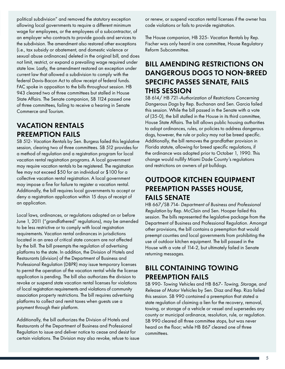political subdivision" and removed the statutory exception allowing local governments to require a different minimum wage for employees, or the employees of a subcontractor, of an employer who contracts to provide goods and services to the subdivision. The amendment also restored other exceptions (i.e., tax subsidy or abatement, and domestic violence or sexual abuse ordinances) deleted in the original bill, and does not limit, restrict, or expand a prevailing wage required under state law. Lastly, the amendment restored an exception under current law that allowed a subdivision to comply with the federal Davis-Bacon Act to allow receipt of federal funds. FAC spoke in opposition to the bills throughout session. HB 943 cleared two of three committees but stalled in House State Affairs. The Senate companion, SB 1124 passed one of three committees, failing to receive a hearing in Senate Commerce and Tourism.

#### VACATION RENTALS PREEMPTION FAILS

SB 512- *Vacation Rentals* by Sen. Burgess failed this legislative session, clearing two of three committees. SB 512 provides for a method of regulation and a registration program for local vacation rental registration programs. A local government may require vacation rentals to be registered. The registration fee may not exceed \$50 for an individual or \$100 for a collective vacation rental registration. A local government may impose a fine for failure to register a vacation rental. Additionally, the bill requires local governments to accept or deny a registration application within 15 days of receipt of an application.

Local laws, ordinances, or regulations adopted on or before June 1, 2011 ("grandfathered" regulations), may be amended to be less restrictive or to comply with local registration requirements. Vacation rental ordinances in jurisdictions located in an area of critical state concern are not affected by the bill. The bill preempts the regulation of advertising platforms to the state. In addition, the Division of Hotels and Restaurants (division) of the Department of Business and Professional Regulation (DBPR) may issue temporary licenses to permit the operation of the vacation rental while the license application is pending. The bill also authorizes the division to revoke or suspend state vacation rental licenses for violations of local registration requirements and violations of community association property restrictions. The bill requires advertising platforms to collect and remit taxes when guests use a payment through their platform.

Additionally, the bill authorizes the Division of Hotels and Restaurants of the Department of Business and Professional Regulation to issue and deliver notice to cease and desist for certain violations. The Division may also revoke, refuse to issue or renew, or suspend vacation rental licenses if the owner has code violations or fails to provide registration.

The House companion, HB 325- *Vacation Rentals* by Rep. Fischer was only heard in one committee, House Regulatory Reform Subcommittee.

#### BILL AMENDING RESTRICTIONS ON DANGEROUS DOGS TO NON-BREED SPECIFIC PASSES SENATE, FAILS THIS SESSION

SB 614/ HB 721-*Authorization of Restrictions Concerning Dangerous Dogs* by Rep. Buchanan and Sen. Garcia failed this session. While the bill passed in the Senate with a vote of (35-0), the bill stalled in the House in its third committee, House State Affairs. The bill allows public housing authorities to adopt ordinances, rules, or policies to address dangerous dogs, however, the rule or policy may not be breed specific. Additionally, the bill removes the grandfather provision in Florida statute, allowing for breed specific regulations, if the ordinance was adopted prior to October 1, 1990. This change would nullify Miami Dade County's regulations and restrictions on owners of pit bulldogs.

#### OUTDOOR KITCHEN EQUIPMENT PREEMPTION PASSES HOUSE, FAILS SENATE

HB 667/SB 714- *Department of Business and Professional Regulation* by Rep. McClain and Sen. Hooper failed this session. The bills represented the legislative package from the Department of Business and Professional Regulation. Amongst other provisions, the bill contains a preemption that would preempt counties and local governments from prohibiting the use of outdoor kitchen equipment. The bill passed in the House with a vote of 114-2, but ultimately failed in Senate returning messages.

#### BILL CONTAINING TOWING PREEMPTION FAILS

SB 990- *Towing Vehicles* and HB 867- *Towing, Storage, and Release of Motor Vehicles* by Sen. Diaz and Rep. Rizo failed this session. SB 990 contained a preemption that stated a state regulation of claiming a lien for the recovery, removal, towing, or storage of a vehicle or vessel and supersedes any county or municipal ordinance, resolution, rule, or regulation. SB 990 cleared all three committee stops, but was never heard on the floor; while HB 867 cleared one of three committees.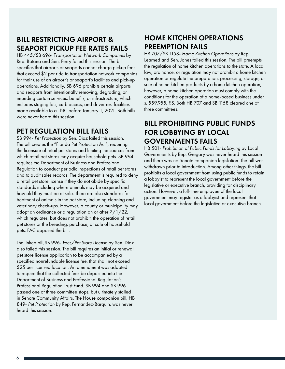#### BILL RESTRICTING AIRPORT & SEAPORT PICKUP FEE RATES FAILS

HB 445/SB 696- T*ransportation Network Companies* by Rep. Botana and Sen. Perry failed this session. The bill specifies that airports or seaports cannot charge pickup fees that exceed \$2 per ride to transportation network companies for their use of an airport's or seaport's facilities and pick-up operations. Additionally, SB 696 prohibits certain airports and seaports from intentionally removing, degrading, or impeding certain services, benefits, or infrastructure, which includes staging lots, curb access, and driver rest facilities made available to a TNC before January 1, 2021. Both bills were never heard this session.

#### PET REGULATION BILL FAILS

SB 994- *Pet Protection* by Sen. Diaz failed this session. The bill creates the "Florida Pet Protection Act", requiring the licensure of retail pet stores and limiting the sources from which retail pet stores may acquire household pets. SB 994 requires the Department of Business and Professional Regulation to conduct periodic inspections of retail pet stores and to audit sales records. The department is required to deny a retail pet store license if they do not abide by specific standards including where animals may be acquired and how old they must be at sale. There are also standards for treatment of animals in the pet store, including cleaning and veterinary check-ups. However, a county or municipality may adopt an ordinance or a regulation on or after 7/1/22, which regulates, but does not prohibit, the operation of retail pet stores or the breeding, purchase, or sale of household pets. FAC opposed the bill.

The linked bill,SB 996- *Fees/Pet Store License* by Sen. Diaz also failed this session. The bill requires an initial or renewal pet store license application to be accompanied by a specified nonrefundable license fee, that shall not exceed \$25 per licensed location. An amendment was adopted to require that the collected fees be deposited into the Department of Business and Professional Regulation's Professional Regulation Trust Fund. SB 994 and SB 996 passed one of three committee stops, but ultimately stalled in Senate Community Affairs. The House companion bill, HB 849- *Pet Protection* by Rep. Fernandez-Barquin, was never heard this session.

#### HOME KITCHEN OPERATIONS PREEMPTION FAILS

HB 707/SB 1158- *Home Kitchen Operations* by Rep. Learned and Sen. Jones failed this session. The bill preempts the regulation of home kitchen operations to the state. A local law, ordinance, or regulation may not prohibit a home kitchen operation or regulate the preparation, processing, storage, or sale of home kitchen products by a home kitchen operation; however, a home kitchen operation must comply with the conditions for the operation of a home-based business under s. 559.955, F.S. Both HB 707 and SB 1158 cleared one of three committees.

#### BILL PROHIBITING PUBLIC FUNDS FOR LOBBYING BY LOCAL GOVERNMENTS FAILS

HB 501- *Prohibition of Public Funds for Lobbying* by Local Governments by Rep. Gregory was never heard this session and there was no Senate companion legislation. The bill was withdrawn prior to introduction. Among other things, the bill prohibits a local government from using public funds to retain a lobbyist to represent the local government before the legislative or executive branch, providing for disciplinary action. However, a full-time employee of the local government may register as a lobbyist and represent that local government before the legislative or executive branch.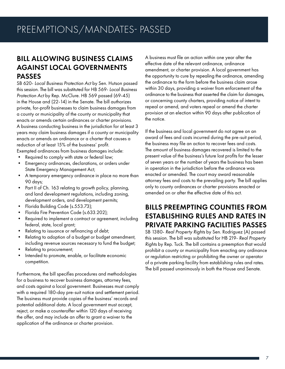#### BILL ALLOWING BUSINESS CLAIMS AGAINST LOCAL GOVERNMENTS PASSES

SB 620- *Local Business Protection Act* by Sen. Hutson passed this session. The bill was substituted for HB 569- *Local Business Protection Act* by Rep. McClure. HB 569 passed (69-45) in the House and (22-14) in the Senate. The bill authorizes private, for-profit businesses to claim business damages from a county or municipality of the county or municipality that enacts or amends certain ordinances or charter provisions. A business conducting business in the jurisdiction for at least 3 years may claim business damages if a county or municipality enacts or amends an ordinance or a charter that causes a reduction of at least 15% of the business' profit.

Exempted ordinances from business damages include:

- Required to comply with state or federal law;
- Emergency ordinances, declarations, or orders under State Emergency Management Act;
- A temporary emergency ordinance in place no more than 90 days;
- Part II of Ch. 163 relating to growth policy, planning, and land development regulations, including zoning, development orders, and development permits;
- Florida Building Code (s.553.73);
- Florida Fire Prevention Code (s.633.202);
- Required to implement a contract or agreement, including federal, state, local grant;
- Relating to issuance or refinancing of debt;
- Relating to adoption of a budget or budget amendment, including revenue sources necessary to fund the budget;
- Relating to procurement;
- Intended to promote, enable, or facilitate economic competition.

Furthermore, the bill specifies procedures and methodologies for a business to recover business damages, attorney fees, and costs against a local government. Businesses must comply with a required 180-day pre-suit notice and settlement period. The business must provide copies of the business' records and potential additional data. A local government must accept, reject, or make a counteroffer within 120 days of receiving the offer, and may include an offer to grant a waiver to the application of the ordinance or charter provision.

A business must file an action within one year after the effective date of the relevant ordinance, ordinance amendment, or charter provision. A local government has the opportunity to cure by repealing the ordinance, amending the ordinance to the form before the business claim arose within 30 days, providing a waiver from enforcement of the ordinance to the business that asserted the claim for damages, or concerning county charters, providing notice of intent to repeal or amend, and voters repeal or amend the charter provision at an election within 90 days after publication of the notice.

If the business and local government do not agree on an award of fees and costs incurred during the pre-suit period, the business may file an action to recover fees and costs. The amount of business damages recovered is limited to the present value of the business's future lost profits for the lesser of seven years or the number of years the business has been in operation in the jurisdiction before the ordinance was enacted or amended. The court may award reasonable attorney fees and costs to the prevailing party. The bill applies only to county ordinances or charter provisions enacted or amended on or after the effective date of this act.

#### BILLS PREEMPTING COUNTIES FROM ESTABLISHING RULES AND RATES IN PRIVATE PARKING FACILITIES PASSES

SB 1380- *Real Property Rights* by Sen. Rodriguez (A) passed this session. The bill was substituted for HB 219- *Real Property Rights* by Rep. Tuck. The bill contains a preemption that would prohibit a county or municipality from enacting any ordinance or regulation restricting or prohibiting the owner or operator of a private parking facility from establishing rules and rates. The bill passed unanimously in both the House and Senate.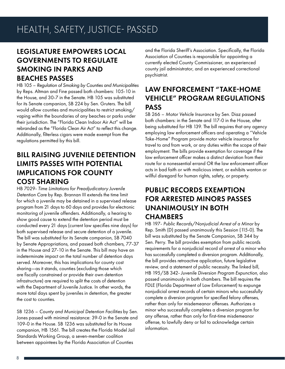#### LEGISLATURE EMPOWERS LOCAL GOVERNMENTS TO REGULATE SMOKING IN PARKS AND BEACHES PASSES

HB 105 – *Regulation of Smoking by Counties and Municipalities*  by Reps. Altman and Fine passed both chambers: 105-10 in the House, and 30-7 in the Senate. HB 105 was substituted for its Senate companion, SB 224 by Sen. Gruters. The bill would allow counties and municipalities to restrict smoking/ vaping within the boundaries of any beaches or parks under their jurisdiction. The "Florida Clean Indoor Air Act" will be rebranded as the "Florida Clean Air Act" to reflect this change. Additionally, filterless cigars were made exempt from the regulations permitted by this bill.

### BILL RAISING JUVENILE DETENTION LIMITS PASSES WITH POTENTIAL IMPLICATIONS FOR COUNTY COST SHARING

HB 7029- *Time Limitations for Preadjudicatory Juvenile Detention Care* by Rep. Brannan III extends the time limit for which a juvenile may be detained in a supervised release program from 21 days to 60 days and provides for electronic monitoring of juvenile offenders. Additionally, a hearing to show good cause to extend the detention period must be conducted every 21 days (current law specifies nine days) for both supervised release and secure detention of a juvenile. The bill was substituted for its Senate companion, SB 7040 by Senate Appropriations, and passed both chambers, 77-37 in the House and 27-10 in the Senate. This bill may have an indeterminate impact on the total number of detention days served. Moreover, this has implications for county cost sharing—as it stands, counties (excluding those which are fiscally constrained or provide their own detention infrastructure) are required to split the costs of detention with the Department of Juvenile Justice. In other words, the more total days spent by juveniles in detention, the greater the cost to counties.

SB 1236 – *County and Municipal Detention Facilities* by Sen. Jones passed with minimal resistance: 39-0 in the Senate and 109-0 in the House. SB 1236 was substituted for its House companion, HB 1561. The bill creates the Florida Model Jail Standards Working Group, a seven-member coalition between appointees by the Florida Association of Counties

and the Florida Sheriff's Association. Specifically, the Florida Association of Counties is responsible for appointing a currently elected County Commissioner, an experienced county jail administrator, and an experienced correctional psychiatrist.

#### LAW ENFORCEMENT "TAKE-HOME VEHICLE" PROGRAM REGULATIONS PASS

SB 266 – *Motor Vehicle Insurance* by Sen. Diaz passed both chambers: in the Senate and 117-0 in the House, after being substituted for HB 139. The bill requires that any agency employing law enforcement officers and operating a "Vehicle Take-Home" Program provide motor vehicle insurance for travel to and from work, or any duties within the scope of their employment. The bills provide exemption for coverage if the law enforcement officer makes a distinct deviation from their route for a nonessential errand OR the law enforcement officer acts in bad faith or with malicious intent, or exhibits wanton or willful disregard for human rights, safety, or property.

#### PUBLIC RECORDS EXEMPTION FOR ARRESTED MINORS PASSES UNANIMOUSLY IN BOTH **CHAMBERS**

HB 197- *Public Records/Nonjudicial Arrest of a Minor* by Rep. Smith (D) passed unanimously this Session (115-0). The bill was substituted by the Senate Companion, SB 344 by Sen. Perry. The bill provides exemption from public records requirements for a nonjudicial record of arrest of a minor who has successfully completed a diversion program. Additionally, the bill provides retroactive application, future legislative review, and a statement of public necessity. The linked bill, HB 195/SB 342- *Juvenile Diversion Program Expunction*, also passed unanimously in both chambers. The bill requires the FDLE (Florida Department of Law Enforcement) to expunge nonjudicial arrest records of certain minors who successfully complete a diversion program for specified felony offenses, rather than only for misdemeanor offenses. Authorizes a minor who successfully completes a diversion program for any offense, rather than only for first-time misdemeanor offense, to lawfully deny or fail to acknowledge certain information.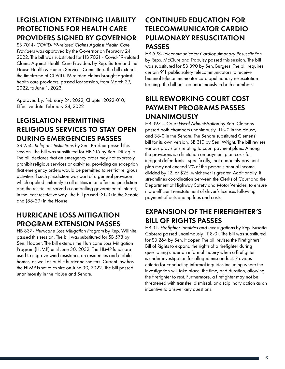### LEGISLATION EXTENDING LIABILITY PROTECTIONS FOR HEALTH CARE PROVIDERS SIGNED BY GOVERNOR

SB 7014- *COVID-19-related Claims Against Health Care Providers* was approved by the Governor on February 24, 2022. The bill was substituted for HB 7021 - Covid-19-related Claims Against Health Care Providers by Rep. Burton and the House Health & Human Services Committee. The bill extends the timeframe of COVID-19-related claims brought against health care providers, passed last session, from March 29, 2022, to June 1, 2023.

Approved by: February 24, 2022; Chapter 2022-010; Effective date: February 24, 2022

## LEGISLATION PERMITTING RELIGIOUS SERVICES TO STAY OPEN DURING EMERGENCIES PASSES

SB 254- *Religious Institutions* by Sen. Brodeur passed this session. The bill was substituted for HB 215 by Rep. DiCeglie. The bill declares that an emergency order may not expressly prohibit religious services or activities, providing an exception that emergency orders would be permitted to restrict religious activities if such jurisdiction was part of a general provision which applied uniformly to all entities in an affected jurisdiction and the restriction served a compelling governmental interest, in the least restrictive way. The bill passed (31-3) in the Senate and (88-29) in the House.

#### HURRICANE LOSS MITIGATION PROGRAM EXTENSION PASSES

HB 837- *Hurricane Loss Mitigation Program* by Rep. Willhite passed this session. The bill was substituted for SB 578 by Sen. Hooper. The bill extends the Hurricane Loss Mitigation Program (HLMP) until June 30, 2032. The HLMP funds are used to improve wind resistance on residences and mobile homes, as well as public hurricane shelters. Current law has the HLMP is set to expire on June 30, 2022. The bill passed unanimously in the House and Senate.

## CONTINUED EDUCATION FOR TELECOMMUNICATOR CARDIO PULMONARY RESUSCITATION PASSES

HB 593-*Telecommunicator Cardiopulmonary Resuscitation* by Reps. McClure and Trabulsy passed this session. The bill was substituted for SB 890 by Sen. Burgess. The bill requires certain 911 public safety telecommunicators to receive biennial telecommunicator cardiopulmonary resuscitation training. The bill passed unanimously in both chambers.

#### BILL REWORKING COURT COST PAYMENT PROGRAMS PASSES UNANIMOUSLY

HB 397 – *Court Fiscal Administration* by Rep. Clemons passed both chambers unanimously, 115-0 in the House, and 38-0 in the Senate. The Senate substituted Clemens' bill for its own version, SB 310 by Sen. Wright. The bill revises various provisions relating to court payment plans. Among the provisions is a limitation on payment plan costs for indigent defendants—specifically, that a monthly payment plan may not exceed 2% of the person's annual income divided by 12, or \$25, whichever is greater. Additionally, it streamlines coordination between the Clerks of Court and the Department of Highway Safety and Motor Vehicles, to ensure more efficient reinstatement of driver's licenses following payment of outstanding fees and costs.

## EXPANSION OF THE FIREFIGHTER'S BILL OF RIGHTS PASSES

HB 31- *Firefighter Inquiries and Investigations* by Rep. Busatta Cabrera passed unanimously (118-0). The bill was substituted for SB 264 by Sen. Hooper. The bill revises the Firefighters' Bill of Rights to expand the rights of a firefighter during questioning under an informal inquiry when a firefighter is under investigation for alleged misconduct. Provides criteria for conducting informal inquiries including where the investigation will take place, the time, and duration, allowing the firefighter to rest. Furthermore, a firefighter may not be threatened with transfer, dismissal, or disciplinary action as an incentive to answer any questions.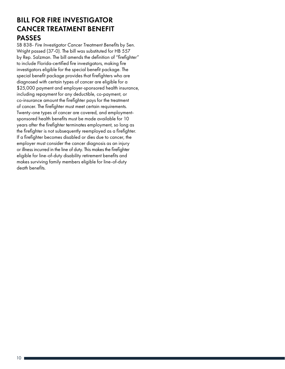#### BILL FOR FIRE INVESTIGATOR CANCER TREATMENT BENEFIT PASSES

SB 838- *Fire Investigator Cancer Treatment Benefits* by Sen. Wright passed (37-0). The bill was substituted for HB 557 by Rep. Salzman. The bill amends the definition of "firefighter" to include Florida-certified fire investigators, making fire investigators eligible for the special benefit package. The special benefit package provides that firefighters who are diagnosed with certain types of cancer are eligible for a \$25,000 payment and employer-sponsored health insurance, including repayment for any deductible, co-payment, or co-insurance amount the firefighter pays for the treatment of cancer. The firefighter must meet certain requirements. Twenty-one types of cancer are covered, and employmentsponsored health benefits must be made available for 10 years after the firefighter terminates employment, so long as the firefighter is not subsequently reemployed as a firefighter. If a firefighter becomes disabled or dies due to cancer, the employer must consider the cancer diagnosis as an injury or illness incurred in the line of duty. This makes the firefighter eligible for line-of-duty disability retirement benefits and makes surviving family members eligible for line-of-duty death benefits.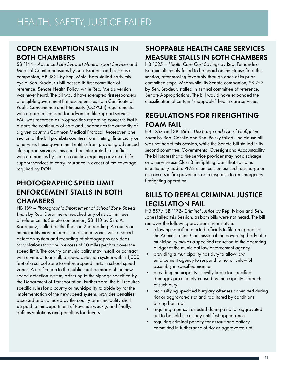#### COPCN EXEMPTION STALLS IN BOTH CHAMBERS

SB 1144– *Advanced Life Support Nontransport Services* and Medical Countermeasures by Sen. Brodeur and its House companion, HB 1321 by Rep. Melo, both stalled early this cycle. Sen. Brodeur's bill passed its first committee of reference, Senate Health Policy, while Rep. Melo's version was never heard. The bill would have exempted first responders of eligible government fire rescue entities from Certificate of Public Convenience and Necessity (COPCN) requirements, with regard to licensure for advanced life support services. FAC was recorded as in opposition regarding concerns that it distorts the continuum of care and undermines the authority of a given county's Common Medical Protocol. Moreover, one section of the bill prohibits counties from limiting, financially or otherwise, these government entities from providing advanced life support services. This could be interpreted to conflict with ordinances by certain counties requiring advanced life support services to carry insurance in excess of the coverage required by DOH.

#### PHOTOGRAPHIC SPEED LIMIT ENFORCEMENT STALLS IN BOTH **CHAMBERS**

HB 189 – *Photographic Enforcement of School Zone Speed Limits* by Rep. Duran never reached any of its committees of reference. Its Senate companion, SB 410 by Sen. A. Rodriguez, stalled on the floor on 2nd reading. A county or municipality may enforce school speed zones with a speed detection system and recording of photographs or videos for violations that are in excess of 10 miles per hour over the speed limit. The county or municipality may install, or contract with a vendor to install, a speed detection system within 1,000 feet of a school zone to enforce speed limits in school speed zones. A notification to the public must be made of the new speed detection system, adhering to the signage specified by the Department of Transportation. Furthermore, the bill requires specific rules for a county or municipality to abide by for the implementation of the new speed system, provides penalties assessed and collected by the county or municipality shall be paid to the Department of Revenue weekly, and finally, defines violations and penalties for drivers.

## SHOPPABLE HEALTH CARE SERVICES MEASURE STALLS IN BOTH CHAMBERS

HB 1325 – *Health Care Cost Savings* by Rep. Fernandez-Barquin ultimately failed to be heard on the House floor this session, after moving favorably through each of its prior committee stops. Meanwhile, its Senate companion, SB 252 by Sen. Brodeur, stalled in its final committee of reference, Senate Appropriations. The bill would have expanded the classification of certain "shoppable" health care services.

#### REGULATIONS FOR FIREFIGHTING FOAM FAIL

HB 1257 and SB 1666- *Discharge and Use of Firefighting Foam* by Rep. Casello and Sen. Polsky failed. The House bill was not heard this Session, while the Senate bill stalled in its second committee, Governmental Oversight and Accountability. The bill states that a fire service provider may not discharge or otherwise use Class B firefighting foam that contains intentionally added PFAS chemicals unless such discharge or use occurs in fire prevention or in response to an emergency firefighting operation.

## BILLS TO REPEAL CRIMINAL JUSTICE LEGISLATION FAIL

HB 857/ SB 1172- *Criminal Justice* by Rep. Nixon and Sen. Jones failed this Session, as both bills were not heard. The bill removes the following provisions from statute:

- allowing specified elected officials to file an appeal to the Administration Commission if the governing body of a municipality makes a specified reduction to the operating budget of the municipal law enforcement agency
- providing a municipality has duty to allow law enforcement agency to respond to riot or unlawful assembly in specified manner
- providing municipality is civilly liable for specified damages proximately caused by municipality's breach of such duty
- reclassifying specified burglary offenses committed during riot or aggravated riot and facilitated by conditions arising from riot
- requiring a person arrested during a riot or aggravated riot to be held in custody until first appearance
- requiring criminal penalty for assault and battery committed in furtherance of riot or aggravated riot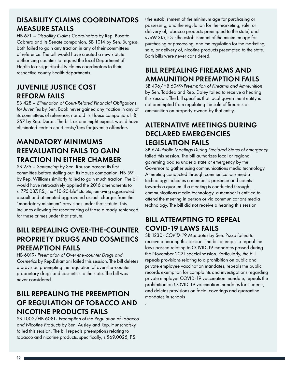#### DISABILITY CLAIMS COORDINATORS MEASURE STALLS

HB 671 – *Disability Claims Coordinators* by Rep. Busatta Cabrera and its Senate companion, SB 1014 by Sen. Burgess, both failed to gain any traction in any of their committees of reference. The bill would have created a new statute authorizing counties to request the local Department of Health to assign disability claims coordinators to their respective county health departments.

### JUVENILE JUSTICE COST REFORM FAILS

SB 428 – *Elimination of Court-Related Financial Obligations for Juveniles* by Sen. Book never gained any traction in any of its committees of reference, nor did its House companion, HB 257 by Rep. Duran. The bill, as one might expect, would have eliminated certain court costs/fees for juvenile offenders.

## MANDATORY MINIMUMS REEVALUATION FAILS TO GAIN TRACTION IN EITHER CHAMBER

SB 276 – *Sentencing* by Sen. Rouson passed its first committee before stalling out. Its House companion, HB 591 by Rep. Williams similarly failed to gain much traction. The bill would have retroactively applied the 2016 amendments to s. 775.087, F.S., the "10-20-Life" statute, removing aggravated assault and attempted aggravated assault charges from the "mandatory minimum" provisions under that statute. This includes allowing for resentencing of those already sentenced for these crimes under that statute.

#### BILL REPEALING OVER-THE-COUNTER PROPRIETY DRUGS AND COSMETICS PREEMPTION FAILS

HB 6019- *Preemption of Over-the-counter Drugs and Cosmetics* by Rep.Eskamani failed this session. The bill deletes a provision preempting the regulation of over-the-counter proprietary drugs and cosmetics to the state. The bill was never considered.

### BILL REPEALING THE PREEMPTION OF REGULATION OF TOBACCO AND NICOTINE PRODUCTS FAILS

SB 1002/HB 6081- *Preemption of the Regulation of Tobacco and Nicotine Products* by Sen. Ausley and Rep. Hunschofsky failed this session. The bill repeals preemptions relating to tobacco and nicotine products, specifically, s.569.0025, F.S.

(the establishment of the minimum age for purchasing or possessing, and the regulation for the marketing, sale, or delivery of, tobacco products preempted to the state) and s.569.315, F.S. (the establishment of the minimum age for purchasing or possessing, and the regulation for the marketing, sale, or delivery of, nicotine products preempted to the state. Both bills were never considered.

#### BILL REPEALING FIREARMS AND AMMUNITION PREEMPTION FAILS

SB 496/HB 6049-*Preemption of Firearms and Ammunition*  by Sen. Taddeo and Rep. Daley failed to receive a hearing this session. The bill specifies that local government entity is not preempted from regulating the sale of firearms or ammunition on property owned by that entity.

#### ALTERNATIVE MEETINGS DURING DECLARED EMERGENCIES LEGISLATION FAILS

SB 674-*Public Meetings During Declared States of Emergency* failed this session. The bill authorizes local or regional governing bodies under a state of emergency by the Governor to gather using communications media technology. A meeting conducted through communications media technology indicates a member's presence and counts towards a quorum. If a meeting is conducted through communications media technology, a member is entitled to attend the meeting in person or via communications media technology. The bill did not receive a hearing this session

## BILL ATTEMPTING TO REPEAL COVID-19 LAWS FAILS

.

SB 1230- *COVID-19 Mandates* by Sen. Pizzo failed to receive a hearing this session. The bill attempts to repeal the laws passed relating to COVID-19 mandates passed during the November 2021 special session. Particularly, the bill repeals provisions relating to a prohibition on public and private employee vaccination mandates, repeals the public records exemption for complaints and investigations regarding private employer COVID-19 vaccination mandate, repeals the prohibition on COVID-19 vaccination mandates for students, and deletes provisions on facial coverings and quarantine mandates in schools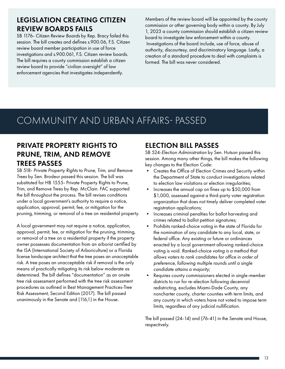#### LEGISLATION CREATING CITIZEN REVIEW BOARDS FAILS

SB 1176- *Citizen Review Boards* by Rep. Bracy failed this session. The bill creates and defines s.900.06, F.S. Citizen review board member participation in use of force investigations and s.900.061, F.S. Citizen review boards. The bill requires a county commission establish a citizen review board to provide "civilian oversight" of law enforcement agencies that investigates independently.

Members of the review board will be appointed by the county commission or other governing body within a county. By July 1, 2023 a county commission should establish a citizen review board to investigate law enforcement within a county. Investigations of the board include, use of force, abuse of authority, discourtesy, and discriminatory language. Lastly, a creation of a standard procedure to deal with complaints is formed. The bill was never considered.

## COMMUNITY AND URBAN AFFAIRS- PASSED

#### PRIVATE PROPERTY RIGHTS TO PRUNE, TRIM, AND REMOVE TREES PASSES

SB 518- *Private Property Rights to Prune, Trim, and Remove Trees* by Sen. Brodeur passed this session. The bill was substituted for HB 1555- Private Property Rights to Prune, Trim, and Remove Trees by Rep. McClain. FAC supported the bill throughout the process. The bill revises conditions under a local government's authority to require a notice, application, approval, permit, fee, or mitigation for the pruning, trimming, or removal of a tree on residential property.

A local government may not require a notice, application, approval, permit, fee, or mitigation for the pruning, trimming, or removal of a tree on a residential property if the property owner possesses documentation from an arborist certified by the ISA (International Society of Arboriculture) or a Florida license landscape architect that the tree poses an unacceptable risk. A tree poses an unacceptable risk if removal is the only means of practically mitigating its risk below moderate as determined. The bill defines "documentation" as an onsite tree risk assessment performed with the tree risk assessment procedures as outlined in Best Management Practices-Tree Risk Assessment, Second Edition (2017). The bill passed unanimously in the Senate and (116,1) in the House.

#### ELECTION BILL PASSES

SB 524-*Election Administration* by Sen. Hutson passed this session. Among many other things, the bill makes the following key changes to the Election Code:

- Creates the Office of Election Crimes and Security within the Department of State to conduct investigations related to election law violations or election irregularities;
- Increases the annual cap on fines up to \$50,000 from \$1,000, assessed against a third-party voter registration organization that does not timely deliver completed voter registration applications;
- Increases criminal penalties for ballot harvesting and crimes related to ballot petition signatures;
- Prohibits ranked-choice voting in the state of Florida for the nomination of any candidate to any local, state, or federal office. Any existing or future or ordinances enacted by a local government allowing ranked-choice voting is void. *Ranked-choice voting is a method that allows voters to rank candidates for office in order of preference, following multiple rounds until a single candidate attains a majority;*
- Requires county commissioners elected in single-member districts to run for re-election following decennial redistricting, excludes Miami-Dade County, any noncharter county, charter counties with term limits, and any county in which voters have not voted to impose term limits, regardless of any judicial nullification.

The bill passed (24-14) and (76-41) in the Senate and House, respectively.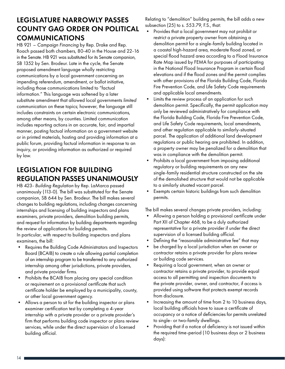#### LEGISLATURE NARROWLY PASSES COUNTY GAG ORDER ON POLITICAL COMMUNICATIONS

HB 921 – *Campaign Financing* by Rep. Drake and Rep. Roach passed both chambers, 80-40 in the House and 22-16 in the Senate. HB 921 was substituted for its Senate companion, SB 1352 by Sen. Brodeur. Late in the cycle, the Senate proposed amendment language wholly restricting communications by a local government concerning an impending referendum, amendment, or ballot initiative, including those communications limited to "factual information." This language was softened by a later substitute amendment that allowed local governments *limited* communication on these topics; however, the language still includes constraints on certain electronic communications, among other means, by counties. Limited communication includes reporting actions in an accurate, fair, and impartial manner, posting factual information on a government website or in printed materials, hosting and providing information at a public forum, providing factual information in response to an inquiry, or providing information as authorized or required by law.

#### LEGISLATION FOR BUILDING REGULATION PASSES UNANIMOUSLY

HB 423- *Building Regulation* by Rep. LaMarca passed unanimously (113-0). The bill was substituted for the Senate companion, SB 644 by Sen. Brodeur. The bill makes several changes to building regulations, including changes concerning internships and licensing of building inspectors and plans examiners, private providers, demolition building permits, and request for information by building departments regarding the review of applications for building permits. In particular, with respect to building inspectors and plans examiners, the bill:

- Requires the Building Code Administrators and Inspectors Board (BCAIB) to create a rule allowing partial completion of an internship program to be transferred to any authorized internship among other jurisdictions, private providers, and private provider firms.
- Prohibits the BCAIB from placing any special condition or requirement on a provisional certificate that such certificate holder be employed by a municipality, county, or other local government agency.
- Allows a person to sit for the building inspector or plans examiner certification test by completing a 4-year internship with a private provider or a private provider's firm that performs building code inspector or plans review services, while under the direct supervision of a licensed building official.

Relating to "demolition" building permits, the bill adds a new subsection (25) to s. 553.79, F.S., that:

- Provides that a local government may not prohibit or restrict a private property owner from obtaining a demolition permit for a single-family building located in a coastal high-hazard area, moderate flood zoned, or special flood hazard area according to a Flood Insurance Rate Map issued by FEMA for purposes of participating in the National Flood Insurance Program in certain flood elevations and if the flood zones and the permit complies with other provisions of the Florida Building Code, Florida Fire Prevention Code, and Life Safety Code requirements and applicable local amendments.
- Limits the review process of an application for such demolition permit. Specifically, the permit application may only be reviewed administratively for compliance with the Florida Building Code, Florida Fire Prevention Code, and Life Safety Code requirements, local amendments, and other regulation applicable to similarly-situated parcel. The application of additional land development regulations or public hearing are prohibited. In addition, a property owner may be penalized for a demolition that was in compliance with the demolition permit.
- Prohibits a local government from imposing additional regulatory or building requirements on any new single-family residential structure constructed on the site of the demolished structure that would not be applicable to a similarly situated vacant parcel.
- Exempts certain historic buildings from such demolition permits.

The bill makes several changes private providers, including:

- Allowing a person holding a provisional certificate under Part XII of Chapter 468, to be a duly authorized representative for a private provider if under the direct supervision of a licensed building official.
- Defining the "reasonable administrative fee" that may
- be charged by a local jurisdiction when an owner or contractor retains a private provider for plans review or building code services.
- Requiring a local government, when an owner or contractor retains a private provider, to provide equal access to all permitting and inspection documents to the private provider, owner, and contractor, if access is provided using software that protects exempt records from disclosure.
- Increasing the amount of time from 2 to 10 business days, local building officials have to issue a certificate of occupancy or a notice of deficiencies for permits unrelated to single- or two-family dwellings.
- Providing that if a notice of deficiency is not issued within the required time-period (10 business days or 2 business days):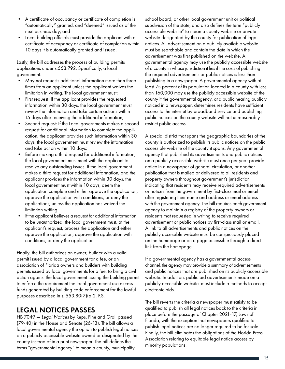- A certificate of occupancy or certificate of completion is "automatically" granted, and "deemed" issued as of the next business day; and
- Local building officials must provide the applicant with a certificate of occupancy or certificate of completion within 10 days it is automatically granted and issued.

Lastly, the bill addresses the process of building permits applications under s.553.792. Specifically, a local government:

- May not requests additional information more than three times from an applicant unless the applicant waives the limitation in writing. The local government must:
- First request: If the applicant provides the requested information within 30 days, the local government must review the information and take certain actions within 15 days after receiving the additional information;
- Second request: If the Local governments makes a second request for additional information to complete the application, the applicant provides such information within 30 days, the local government must review the information and take action within 10 days;
- Before making a third request for additional information, the local government must meet with the applicant to resolve any outstanding issues. If the local government makes a third request for additional information, and the applicant provides the information within 30 days, the local government must within 10 days, deem the application complete and either approve the application, approve the application with conditions, or deny the applications; unless the application has waived the limitation writing.
- If the applicant believes a request for additional information to be unauthorized, the local government must, at the applicant's request, process the application and either approve the application, approve the application with conditions, or deny the application.

Finally, the bill authorizes an owner, builder with a valid permit issued by a local government for a fee, or an association of Florida owners and builders with building permits issued by local governments for a fee, to bring a civil action against the local government issuing the building permit to enforce the requirement the local government use excess funds generated by building code enforcement for the lawful purposes described in s. 553.80(7)(a)2, F.S.

#### LEGAL NOTICES PASSES

HB 7049 — *Legal Notices* by Reps. Fine and Grall passed (79-40) in the House and Senate (26-13). The bill allows a local governmental agency the option to publish legal notices on a publicly accessible website owned or designated by the county instead of in a print newspaper. The bill defines the terms "governmental agency" to mean a county, municipality,

school board, or other local government unit or political subdivision of the state; and also defines the term "publicly accessible website" to mean a county website or private website designated by the county for publication of legal notices. All advertisement on a publicly available website must be searchable and contain the date in which the advertisement was first published on the website. A governmental agency may use the publicly accessible website of a county in whose jurisdiction it lies if the costs of publishing the required advertisements or public notices is less than publishing in a newspaper. A governmental agency with at least 75 percent of its population located in a county with less than 160,000 may use the publicly accessible website of the county if the governmental agency, at a public hearing publicly noticed in a newspaper, determines residents have sufficient access to the internet by broadband service and publishing public notices on the county website will not unreasonably restrict public access.

A special district that spans the geographic boundaries of the county is authorized to publish its public notices on the public accessible website of the county it spans. Any governmental agency that published its advertisements and public notices on a publicly accessible website must once per year provide notice in a newspaper of general circulation, or another publication that is mailed or delivered to all residents and property owners throughout government's jurisdiction indicating that residents may receive required advertisements or notices from the government by first-class mail or email after registering their name and address or email address with the government agency. The bill requires each government agency to maintain a registry of the property owners or residents that requested in writing to receive required advertisement or public notices by first-class mail or email. A link to all advertisements and public notices on the publicly accessible website must be conspicuously placed on the homepage or on a page accessible through a direct link from the homepage.

If a governmental agency has a governmental access channel, the agency may provide a summary of advertisements and public notices that are published on its publicly accessible website. In addition, public bid advertisements made on a publicly accessible website, must include a methods to accept electronic bids.

The bill reverts the criteria a newspaper must satisfy to be qualified to publish all legal notices back to the criteria in place before the passage of Chapter 2021-17, Laws of Florida, with the exception that newspapers qualified to publish legal notices are no longer required to be for sale. Finally, the bill eliminates the obligations of the Florida Press Association relating to equitable legal notice access by minority populations.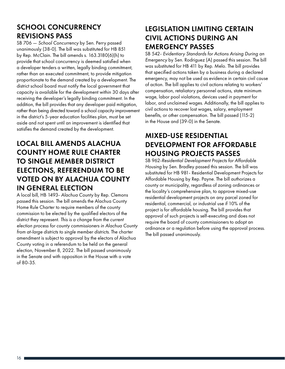### SCHOOL CONCURRENCY REVISIONS PASS

SB 706 — *School Concurrency* by Sen. Perry passed unanimously (38-0). The bill was substituted for HB 851 by Rep. McClain. The bill amends s. 163.3180(6)(h) to provide that school concurrency is deemed satisfied when a developer tenders a written, legally binding commitment, rather than an executed commitment, to provide mitigation proportionate to the demand created by a development. The district school board must notify the local government that capacity is available for the development within 30 days after receiving the developer's legally binding commitment. In the addition, the bill provides that any developer paid mitigation, rather than being directed toward a school capacity improvement in the district's 5-year education facilities plan, must be set aside and not spent until an improvement is identified that satisfies the demand created by the development.

## LOCAL BILL AMENDS ALACHUA COUNTY HOME RULE CHARTER TO SINGLE MEMBER DISTRICT ELECTIONS, REFERENDUM TO BE VOTED ON BY ALACHUA COUNTY IN GENERAL ELECTION

A local bill, HB 1493- *Alachua County* by Rep. Clemons passed this session. The bill amends the Alachua County Home Rule Charter to require members of the county commission to be elected by the qualified electors of the district they represent. *This is a change from the current election process for county commissioners in Alachua County from at-large districts to single member districts*. The charter amendment is subject to approval by the electors of Alachua County voting in a referendum to be held on the general election, November 8, 2022. The bill passed unanimously in the Senate and with opposition in the House with a vote of 80-35.

#### LEGISLATION LIMITING CERTAIN CIVIL ACTIONS DURING AN EMERGENCY PASSES

SB 542- *Evidentiary Standards for Actions Arising During an Emergency* by Sen. Rodriguez (A) passed this session. The bill was substituted for HB 411 by Rep. Melo. The bill provides that specified actions taken by a business during a declared emergency, may not be used as evidence in certain civil cause of action. The bill applies to civil actions relating to workers' compensation, retaliatory personnel actions, state minimum wage, labor pool violations, devices used in payment for labor, and unclaimed wages. Additionally, the bill applies to civil actions to recover lost wages, salary, employment benefits, or other compensation. The bill passed (115-2) in the House and (39-0) in the Senate.

## MIXED-USE RESIDENTIAL DEVELOPMENT FOR AFFORDABLE HOUSING PROJECTS PASSES

SB 962-*Residential Development Projects for Affordable Housing* by Sen. Bradley passed this session. The bill was substituted for HB 981- Residential Development Projects for Affordable Housing by Rep. Payne. The bill authorizes a county or municipality, regardless of zoning ordinances or the locality's comprehensive plan, to approve mixed-use residential development projects on any parcel zoned for residential, commercial, or industrial use if 10% of the project is for affordable housing. The bill provides that approval of such projects is self-executing and does not require the board of county commissioners to adopt an ordinance or a regulation before using the approval process. The bill passed unanimously.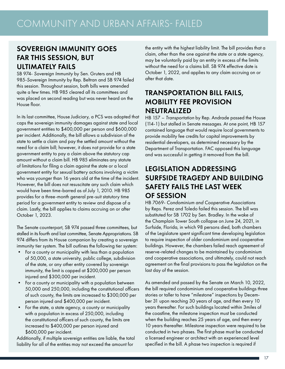#### SOVEREIGN IMMUNITY GOES FAR THIS SESSION, BUT ULTIMATELY FAILS

SB 974- *Sovereign Immunity* by Sen. Gruters and HB 985-*Sovereign Immunity* by Rep. Beltran and SB 974 failed this session. Throughout session, both bills were amended quite a few times. HB 985 cleared all its committees and was placed on second reading but was never heard on the House floor.

In its last committee, House Judiciary, a PCS was adopted that caps the sovereign immunity damages against state and local government entities to \$400,000 per person and \$600,000 per incident. Additionally, the bill allows a subdivision of the state to settle a claim and pay the settled amount without the need for a claim bill; however, it does not provide for a state government entity to pay a claim above the statutory cap amount without a claim bill. HB 985 eliminates any statute of limitations for filing a claim against the state or a local government entity for sexual battery actions involving a victim who was younger than 16 years old at the time of the incident. However, the bill does not resuscitate any such claim which would have been time-barred as of July 1, 2010. HB 985 provides for a three-month general pre-suit statutory time period for a government entity to review and dispose of a claim. Lastly, the bill applies to claims accruing on or after October 1, 2023.

The Senate counterpart, SB 974 passed three committees, but stalled in its fourth and last committee, Senate Appropriations. SB 974 differs from its House companion by creating a sovereign immunity tier system. The bill outlines the following tier system:

- For a county or municipality with less than a population of 50,000, a state university, public college, subdivision of the state, or any other entity covered by sovereign immunity, the limit is capped at \$200,000 per person injured and \$300,000 per incident.
- For a county or municipality with a population between 50,000 and 250,000, including the constitutional officers of such county, the limits are increased to \$300,000 per person injured and \$400,000 per incident.
- For the state, a state agency, a county or municipality with a population in excess of 250,000, including the constitutional officers of such county, the limits are increased to \$400,000 per person injured and \$600,000 per incident.

Additionally, if multiple sovereign entities are liable, the total liability for all of the entities may not exceed the amount for

the entity with the highest liability limit. The bill provides that a claim, other than the one against the state or a state agency, may be voluntarily paid by an entity in excess of the limits without the need for a claims bill. SB 974 effective date is October 1, 2022, and applies to any claim accruing on or after that date.

#### TRANSPORTATION BILL FAILS, MOBILITY FEE PROVISION NEUTRALIZED

HB 157 – *Transportation* by Rep. Andrade passed the House (114-1) but stalled in Senate messages. At one point, HB 157 contained language that would require local governments to provide mobility fee credits for capital improvements by residential developers, as determined necessary by the Department of Transportation. FAC opposed this language and was successful in getting it removed from the bill.

#### LEGISLATION ADDRESSING SURFSIDE TRAGEDY AND BUILDING SAFETY FAILS THE LAST WEEK OF SESSION

HB 7069- *Condominium and Cooperative Associations*  by Reps. Perez and Toledo failed this session. The bill was substituted for SB 1702 by Sen. Bradley. In the wake of the Champlain Tower South collapse on June 24, 2021, in Surfside, Florida, in which 98 persons died, both chambers of the Legislature spent significant time developing legislation to require inspection of older condominium and cooperative buildings. However, the chambers failed reach agreement of reserve-related changes to be maintained by condominium and cooperative associations, and ultimately, could not reach agreement on the final provisions to pass the legislation on the last day of the session.

As amended and passed by the Senate on March 10, 2022, the bill required condominium and cooperative buildings three stories or taller to have "milestone" inspections by December 31 upon reaching 30 years of age, and then every 10 years thereafter. For such buildings located within 3miles of the coastline, the milestone inspection must be conducted when the building reaches 25 years of age, and then every 10 years thereafter. Milestone inspection were required to be conducted in two phases. The first phase must be conducted a licensed engineer or architect with an experienced level specified in the bill. A phase two inspection is required if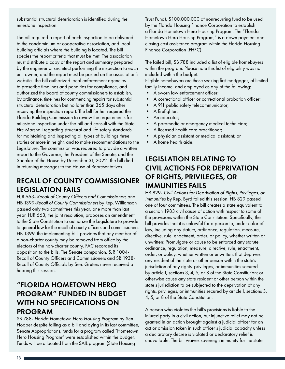substantial structural deterioration is identified during the milestone inspection.

The bill required a report of each inspection to be delivered to the condominium or cooperative association, and local building officials where the building is located. The bill species the report criteria that must be met. The association must distribute a copy of the report and summary prepared by the engineer or architect performing the inspection to each unit owner, and the report must be posted on the association's website. The bill authorized local enforcement agencies to prescribe timelines and penalties for compliance, and authorized the board of county commissioners to establish, by ordinance, timelines for commencing repairs for substantial structural deterioration but no later than 365 days after receiving the inspection report. The bill further required the Florida Building Commission to review the requirements for milestone inspection under the bill and consult with the State Fire Marshall regarding structural and life safety standards for maintaining and inspecting all types of buildings three stories or more in height, and to make recommendations to the Legislature. The commission was required to provide a written report to the Governor, the President of the Senate, and the Speaker of the House by December 31, 2022. The bill died in returning messages to the House of Representatives.

## RECALL OF COUNTY COMMISSIONER LEGISLATION FAILS

HJR 663- *Recall of County Officers and Commissioners* and HB 1399-*Recall of County Commissioners* by Rep. Williamson passed only two committees this year, one more than last year. HJR 663, the joint resolution, proposes an amendment to the State Constitution to authorize the Legislature to provide to general law for the recall of county officers and commissioners. HB 1399, the implementing bill, provides that any member of a non-charter county may be removed from office by the electors of the non-charter county. FAC recorded its opposition to the bills. The Senate companion, SJR 1004- Recall of County Officers and Commissioners and SB 1938- Recall of County Officials by Sen. Gruters never received a hearing this session.

#### "FLORIDA HOMETOWN HERO PROGRAM" FUNDED IN BUDGET WITH NO SPECIFICATIONS ON PROGRAM

SB 788- *Florida Hometown Hero Housing Program* by Sen. Hooper despite failing as a bill and dying in its last committee, Senate Appropriations, funds for a program called "Hometown Hero Housing Program" were established within the budget. Funds will be allocated from the SAIL program (State Housing

Trust Fund), \$100,000,000 of nonrecurring fund to be used by the Florida Housing Finance Corporation to establish a Florida Hometown Hero Housing Program. The "Florida Hometown Hero Housing Program," is a down payment and closing cost assistance program within the Florida Housing Finance Corporation (FHFC).

The failed bill, SB 788 included a list of eligible homebuyers within the program. Please note this list of eligibility was not included within the budget.

Eligible homebuyers are those seeking first mortgages, of limited family income, and employed as any of the following:

- A sworn law enforcement officer;
- A correctional officer or correctional probation officer;
- A 911 public safety telecommunicator;
- A firefighter;
- An educator;
- A paramedic or emergency medical technician;
- A licensed health care practitioner;
- A physician assistant or medical assistant; or
- A home health aide.

#### LEGISLATION RELATING TO CIVIL ACTIONS FOR DEPRIVATION OF RIGHTS, PRIVILEGES, OR IMMUNITIES FAILS

HB 829- *Civil Actions for Deprivation of Rights, Privileges, or Immunities* by Rep. Byrd failed this session. HB 829 passed one of four committees. The bill creates a state equivalent to a section 1983 civil cause of action with respect to some of the provisions within the State Constitution. Specifically, the bill provides that it is unlawful for a person to, under color of law, including any statute, ordinance, regulation, measure, directive, rule, enactment, order, or policy, whether written or unwritten: Promulgate or cause to be enforced any statute, ordinance, regulation, measure, directive, rule, enactment, order, or policy, whether written or unwritten, that deprives any resident of the state or other person within the state's jurisdiction of any rights, privileges, or immunities secured by article I, sections 3, 4, 5, or 8 of the State Constitution; or otherwise cause any state resident or other person within the state's jurisdiction to be subjected to the deprivation of any rights, privileges, or immunities secured by article I, sections 3, 4, 5, or 8 of the State Constitution.

A person who violates the bill's provisions is liable to the injured party in a civil action, but injunctive relief may not be granted in an action brought against a judicial officer for an act or omission taken in such officer's judicial capacity unless a declaratory decree is violated or declaratory relief is unavailable. The bill waives sovereign immunity for the state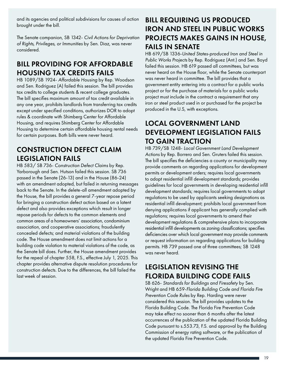and its agencies and political subdivisions for causes of action brought under the bill.

The Senate companion, SB 1342- *Civil Actions for Deprivation of Rights, Privileges, or Immunities* by Sen. Diaz, was never considered.

## BILL PROVIDING FOR AFFORDABLE HOUSING TAX CREDITS FAILS

HB 1089/SB 1924- *Affordable Housing* by Rep. Woodson and Sen. Rodriguez (A) failed this session. The bill provides tax credits to college students & recent college graduates. The bill specifies maximum amount of tax credit available in any one year, prohibits landlords from transferring tax credits except under specified conditions, authorizes DOR to adopt rules & coordinate with Shimberg Center for Affordable Housing, and requires Shimberg Center for Affordable Housing to determine certain affordable housing rental needs for certain purposes. Both bills were never heard.

### CONSTRUCTION DEFECT CLAIM LEGISLATION FAILS

HB 583/ SB 736- *Construction Defect Claims* by Rep. Yarborough and Sen. Hutson failed this session. SB 736 passed in the Senate (26-13) and in the House (86-24) with an amendment adopted, but failed in returning messages back to the Senate. In the delete-all amendment adopted by the House, the bill provides a general 7-year repose period for bringing a construction defect action based on a latent defect and also provides exceptions which result in longer repose periods for defects to the common elements and common areas of a homeowners' association, condominium association, and cooperative associations; fraudulently concealed defects; and material violations of the building code. The House amendment does not limit actions for a building code violation to material violations of the code, as the Senate bill does. Further, the House amendment provides for the repeal of chapter 558, F.S., effective July 1, 2025. This chapter provides alternative dispute resolution procedures for construction defects. Due to the differences, the bill failed the last week of session.

#### BILL REQUIRING US PRODUCED IRON AND STEEL IN PUBLIC WORKS PROJECTS MAKES GAINS IN HOUSE, FAILS IN SENATE

HB 619/SB 1336-*United States-produced Iron and Steel in Public Works Projects* by Rep. Rodriguez (Ant.) and Sen. Boyd failed this session. HB 619 passed all committees, but was never heard on the House floor, while the Senate counterpart was never heard in committee. The bill provides that a government entity entering into a contract for a public works project or for the purchase of materials for a public works project must include in the contract a requirement that any iron or steel product used in or purchased for the project be produced in the U.S, with exceptions.

## LOCAL GOVERNMENT LAND DEVELOPMENT LEGISLATION FAILS TO GAIN TRACTION

HB 739/SB 1248- *Local Government Land Development Actions* by Rep. Borrero and Sen. Gruters failed this session. The bill specifies the deficiencies a county or municipality may provide comments on regarding applications for development permits or development orders; requires local governments to adopt residential infill development standards; provides guidelines for local governments in developing residential infill development standards; requires local governments to adopt regulations to be used by applicants seeking designations as residential infill development; prohibits local government from denying applications if applicant has generally complied with regulations; requires local governments to amend their development regulations & comprehensive plans to incorporate residential infill developments as zoning classifications; specifies deficiencies over which local government may provide comments or request information on regarding applications for building permits. HB 739 passed one of three committees; SB 1248 was never heard.

### LEGISLATION REVISING THE FLORIDA BUILDING CODE FAILS

SB 626- *Standards for Buildings and Firesafety* by Sen. Wright and HB 659-*Florida Building Code and Florida Fire Prevention Code Rules* by Rep. Harding were never considered this session. The bill provides updates to the Florida Building Code. The Florida Fire Prevention Code may take effect no sooner than 6 months after the latest occurrences of the publication of the updated Florida Building Code pursuant to s.553.73, F.S. and approval by the Building Commission of energy rating software, or the publication of the updated Florida Fire Prevention Code.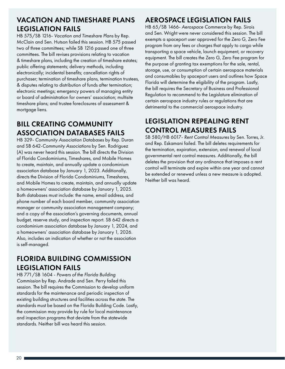#### VACATION AND TIMESHARE PLANS LEGISLATION FAILS

HB 575/SB 1216- *Vacation and Timeshare Plans* by Rep. McClain and Sen. Hutson failed this session. HB 575 passed two of three committees; while SB 1216 passed one of three committees. The bill revises provisions relating to vacation & timeshare plans, including the creation of timeshare estates; public offering statements; delivery methods, including electronically; incidental benefits; cancellation rights of purchaser; termination of timeshare plans, termination trustees, & disputes relating to distribution of funds after termination; electronic meetings; emergency powers of managing entity or board of administration for owners' association; multisite timeshare plans; and trustee foreclosures of assessment & mortgage liens.

### BILL CREATING COMMUNITY ASSOCIATION DATABASES FAILS

HB 329- *Community Association Databases* by Rep. Duran and SB 642-*Community Associations* by Sen. Rodriguez (A) was never heard this session. The bill directs the Division of Florida Condominiums, Timeshares, and Mobile Homes to create, maintain, and annually update a condominium association database by January 1, 2023. Additionally, directs the Division of Florida Condominiums, Timeshares, and Mobile Homes to create, maintain, and annually update a homeowners' association database by January 1, 2025. Both databases must include: the name, email address, and phone number of each board member, community association manager or community association management company; and a copy of the association's governing documents, annual budget, reserve study, and inspection report. SB 642 directs a condominium association database by January 1, 2024, and a homeowners' association database by January 1, 2026. Also, includes an indication of whether or not the association is self-managed.

#### FLORIDA BUILDING COMMISSION LEGISLATION FAILS

HB 771/SB 1604 - *Powers of the Florida Building Commission* by Rep. Andrade and Sen. Perry failed this session. The bill requires the Commission to develop uniform standards for the maintenance and periodic inspection of existing building structures and facilities across the state. The standards must be based on the Florida Building Code. Lastly, the commission may provide by rule for local maintenance and inspection programs that deviate from the statewide standards. Neither bill was heard this session.

#### AEROSPACE LEGISLATION FAILS

HB 65/SB 1466- *Aerospace Commerce* by Rep. Sirois and Sen. Wright were never considered this session. The bill exempts a spaceport user approved for the Zero G, Zero Fee program from any fees or charges that apply to cargo while transporting a space vehicle, launch equipment, or recovery equipment. The bill creates the Zero G, Zero Fee program for the purpose of granting tax exemptions for the sale, rental, storage, use, or consumption of certain aerospace materials and consumables by spaceport users and outlines how Space Florida will determine the eligibility of the program. Lastly, the bill requires the Secretary of Business and Professional Regulation to recommend to the Legislature elimination of certain aerospace industry rules or regulations that are detrimental to the commercial aerospace industry.

## LEGISLATION REPEALING RENT CONTROL MEASURES FAILS

SB 580/HB 6017- *Rent Control Measures* by Sen. Torres, Jr. and Rep. Eskamani failed. The bill deletes requirements for the termination, expiration, extension, and renewal of local governmental rent control measures. Additionally, the bill deletes the provision that any ordinance that imposes a rent control will terminate and expire within one year and cannot be extended or renewed unless a new measure is adopted. Neither bill was heard.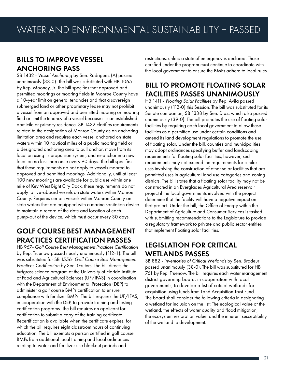#### BILLS TO IMPROVE VESSEL ANCHORING PASS

SB 1432 - *Vessel Anchoring* by Sen. Rodriguez (A) passed unanimously (38-0). The bill was substituted with HB 1065 by Rep. Mooney, Jr. The bill specifies that approved and permitted moorings or mooring fields in Monroe County have a 10-year limit on general tenancies and that a sovereign submerged land or other proprietary lease may not prohibit a vessel from an approved and permitted mooring or mooring field or limit the tenancy of a vessel because it is an established domicile or primary residence. SB 1432 clarifies requirements related to the designation of Monroe County as an anchoring limitation area and requires each vessel anchored on state waters within 10 nautical miles of a public mooring field or a designated anchoring area to pull anchor, move from its location using its propulsion system, and re-anchor in a new location no less than once every 90 days. The bill specifies that these requirements do not apply to vessels moored to approved and permitted moorings. Additionally, until at least 100 new moorings are available for public use within one mile of Key West Bight City Dock, these requirements do not apply to live-aboard vessels on state waters within Monroe County. Requires certain vessels within Monroe County on state waters that are equipped with a marine sanitation device to maintain a record of the date and location of each pump-out of the device, which must occur every 30 days.

#### GOLF COURSE BEST MANAGEMENT PRACTICES CERTIFICATION PASSES

HB 967- *Golf Course Best Management Practices Certification* by Rep. Truenow passed nearly unanimously (112-1). The bill was substituted for SB 1556- *Golf Course Best Management Practices Certification* by Sen. Gruters. The bill directs the turfgrass science program at the University of Florida Institute of Food and Agricultural Sciences (UF/IFAS) in coordination with the Department of Environmental Protection (DEP) to administer a golf course BMPs certification to ensure compliance with fertilizer BMPs. The bill requires the UF/IFAS, in cooperation with the DEP, to provide training and testing certification programs. The bill requires an applicant for certification to submit a copy of the training certificate. Recertification is available when the certificate expires, for which the bill requires eight classroom hours of continuing education. The bill exempts a person certified in golf course BMPs from additional local training and local ordinances relating to water and fertilizer use blackout periods and

restrictions, unless a state of emergency is declared. Those certified under the program must continue to coordinate with the local government to ensure the BMPs adhere to local rules.

## BILL TO PROMOTE FLOATING SOLAR FACILITIES PASSES UNANIMOUSLY

HB 1411 - *Floating Solar Facilities* by Rep. Avila passed unanimously (112-0) this Session. The bill was substituted for its Senate companion, SB 1338 by Sen. Diaz, which also passed unanimously (39-0). The bill promotes the use of floating solar facilities by requiring each local government to allow these facilities as a permitted use under certain conditions and amend its land development regulations to promote the use of floating solar. Under the bill, counties and municipalities may adopt ordinances specifying buffer and landscaping requirements for floating solar facilities, however, such requirements may not exceed the requirements for similar uses involving the construction of other solar facilities that are permitted uses in agricultural land use categories and zoning districts. The bill states that a floating solar facility may not be constructed in an Everglades Agricultural Area reservoir project if the local governments involved with the project determine that the facility will have a negative impact on that project. Under the bill, the Office of Energy within the Department of Agriculture and Consumer Services is tasked with submitting recommendations to the Legislature to provide a regulatory framework to private and public sector entities that implement floating solar facilities.

#### LEGISLATION FOR CRITICAL WETLANDS PASSES

SB 882 - *Inventories of Critical Wetlands* by Sen. Brodeur passed unanimously (38-0). The bill was substituted for HB 761 by Rep. Truenow. The bill requires each water management district governing board, in cooperation with local governments, to develop a list of critical wetlands for acquisition using funds from Land Acquisition Trust Fund. The board shall consider the following criteria in designating a wetland for inclusion on the list: The ecological value of the wetland, the effects of water quality and flood mitigation, the ecosystem restoration value, and the inherent susceptibility of the wetland to development.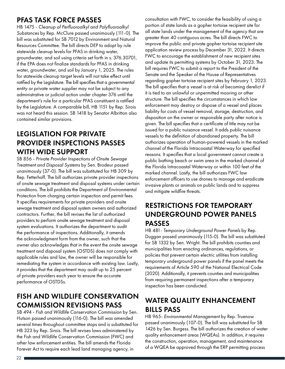#### PFAS TASK FORCE PASSES

HB 1475 - *Cleanup of Perfluoroalkyl and Polyfluoroalkyl Substances* by Rep. McClure passed unanimously (111-0). The bill was substituted for SB 7012 by Environment and Natural Resources Committee. The bill directs DEP to adopt by rule statewide cleanup levels for PFAS in drinking water, groundwater, and soil using criteria set forth in s. 376.30701, if the EPA does not finalize standards for PFAS in drinking water, groundwater, and soil by January 1, 2025. The rules for statewide cleanup target levels will not take effect until ratified by the Legislature. The bill specifies that a *governmental entity or private water supplier* may not be subject to any administrative or judicial action under chapter 376 until the department's rule for a particular PFAS constituent is ratified by the Legislature. A comparable bill, HB 1151 by Rep. Sirois was not heard this session. SB 1418 by Senator Albritton also contained similar provisions.

#### LEGISLATION FOR PRIVATE PROVIDER INSPECTIONS PASSES WITH WIDE SUPPORT

SB 856 - *Private Provider Inspections of Onsite Sewage Treatment and Disposal Systems* by Sen. Brodeur passed unanimously (37-0). The bill was substituted for HB 309 by Rep. Fetterhoff. The bill authorizes private provider inspections of onsite sewage treatment and disposal systems under certain conditions. The bill prohibits the Department of Environmental Protection from charging certain inspection and permit fees. It specifies requirements for private providers and onsite sewage treatment and disposal system owners and authorized contractors. Further, the bill revises the list of authorized providers to perform onsite sewage treatment and disposal system evaluations. It authorizes the department to audit the performance of inspections. Additionally, it amends the acknowledgment form from the owner, such that the owner also acknowledges that in the event the onsite sewage treatment and disposal system (OSTDS) does not comply with applicable rules and law, the owner will be responsible for remediating the system in accordance with existing law. Lastly, it provides that the department may audit up to 25 percent of private providers each year to ensure the accurate performance of OSTDSs.

### FISH AND WILDLIFE CONSERVATION COMMISSION REVISIONS PASS

SB 494 - *Fish and Wildlife Conservation Commission* by Sen. Hutson passed unanimously (116-0). The bill was amended several times throughout committee stops and is substituted for HB 323 by Rep. Sirois. The bill revises laws administered by the Fish and Wildlife Conservation Commission (FWC) and other law enforcement entities. The bill amends the Florida Forever Act to require each lead land managing agency, in

consultation with FWC, to consider the feasibility of using a portion of state lands as a gopher tortoise recipient site for all state lands under the management of the agency that are greater than 40 contiguous acres. The bill directs FWC to improve the public and private gopher tortoise recipient site application review process by December 31, 2022. It directs FWC to encourage the establishment of new recipient sites and update its permitting systems by October 31, 2023. The bill requires FWC to submit a report to the President of the Senate and the Speaker of the House of Representatives regarding gopher tortoise recipient sites by February 1, 2023. The bill specifies that a vessel is at risk of becoming derelict if it is tied to an unlawful or unpermitted mooring or other structure. The bill specifies the circumstances in which law enforcement may destroy or dispose of a vessel and places liability for costs of vessel removal, storage, destruction, and disposition on the owner or responsible party after notice is given. The bill specifies that a certificate of title may not be issued for a public nuisance vessel. It adds public nuisance vessels to the definition of abandoned property. The bill authorizes operation of human-powered vessels in the marked channel of the Florida Intracoastal Waterway for specified reasons. It specifies that a local government cannot create a public bathing beach or swim area in the marked channel of the Florida Intracoastal Waterway or within 100 feet of the marked channel. Lastly, the bill authorizes FWC law enforcement officers to use drones to manage and eradicate invasive plants or animals on public lands and to suppress and mitigate wildfire threats.

#### RESTRICTIONS FOR TEMPORARY UNDERGROUND POWER PANELS PASSES

HB 481- *Temporary Underground Power Panels* by Rep. Duggan passed unanimously (115-0). The bill was substituted for SB 1332 by Sen. Wright. The bill prohibits counties and municipalities from enacting ordinances, regulations, or policies that prevent certain electric utilities from installing temporary underground power panels if the panel meets the requirements of Article 590 of the National Electrical Code (2020). Additionally, it prevents counties and municipalities from requiring permanent inspections after a temporary inspection has been conducted.

## WATER QUALITY ENHANCEMENT BILLS PASS

HB 965- *Environmental Management* by Rep. Truenow passed unanimously (107-0). The bill was substituted for SB 1426 by Sen. Burgess. The bill authorizes the creation of water quality enhancement areas (WQEAs). In addition, it requires the construction, operation, management, and maintenance of a WQEA be approved through the ERP permitting process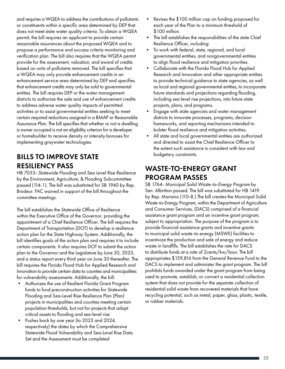and requires a WQEA to address the contributions of pollutants or constituents within a specific area determined by DEP that does not meet state water quality criteria. To obtain a WQEA permit, the bill requires an applicant to provide certain reasonable assurances about the proposed WQEA and to propose a performance and success criteria monitoring and verification plan. The bill also requires that the WQEA permit provide for the assessment, valuation, and award of credits based on units of pollutants removed. The bill specifies that a WQEA may only provide enhancement credits in an enhancement service area determined by DEP and specifies that enhancement credits may only be sold to governmental entities. The bill requires DEP or the water management districts to authorize the sale and use of enhancement credits to address adverse water quality impacts of permitted activities or to assist governmental entities seeking to meet certain required reductions assigned in a BMAP or Reasonable Assurance Plan. The bill specifies that whether or not a dwelling is owner occupied is not an eligibility criterion for a developer or homebuilder to receive density or intensity bonuses for implementing graywater technologies.

#### BILLS TO IMPROVE STATE RESILIENCY PASS

HB 7053- *Statewide Flooding and Sea Level Rise Resilience* by the Environment, Agriculture, & Flooding Subcommittee passed (114-1). The bill was substituted for SB 1940 by Rep. Brodeur. FAC waived in support of the bill throughout the committee meetings.

The bill establishes the Statewide Office of Resilience within the Executive Office of the Governor, providing the appointment of a Chief Resilience Officer. The bill requires the Department of Transportation (DOT) to develop a resilience action plan for the State Highway System. Additionally, the bill identifies goals of the action plan and requires it to include certain components. It also requires DOT to submit the action plan to the Governor and the Legislature by June 20, 2023, and a status report every third year on June 30 thereafter. The bill requires the Florida Flood Hub for Applied Research and Innovation to provide certain data to counties and municipalities for vulnerability assessments. Additionally, the bill:

- Authorizes the use of Resilient Florida Grant Program funds to fund preconstruction activities for Statewide Flooding and Sea-Level Rise Resilience Plan (Plan) projects in municipalities and counties meeting certain population thresholds, but not for projects that adapt critical assets to flooding and sea-level rise
- Pushes back by one year (to 2023 and 2024, respectively) the dates by which the Comprehensive Statewide Flood Vulnerability and Sea-Level Rise Data Set and the Assessment must be completed
- Revises the \$100 million cap on funding proposed for each year of the Plan to a minimum threshold of \$100 million.
- The bill establishes the responsibilities of the state Chief Resilience Officer, including:
- To work with federal, state, regional, and local governmental entities, and nongovernmental entities to align flood resilience and mitigation priorities.
- Collaborate with the Florida Flood Hub for Applied Research and Innovation and other appropriate entities to provide technical guidance to state agencies, as well as local and regional governmental entities, to incorporate future standards and projections regarding flooding, including sea level rise projections, into future state projects, plans, and programs.
- Engage with state agencies and water management districts to innovate processes, programs, decision frameworks, and reporting mechanisms intended to bolster flood resilience and mitigation activities.
- All state and local governmental entities are authorized and directed to assist the Chief Resilience Officer to the extent such assistance is consistent with law and budgetary constraints.

#### WASTE-TO-ENERGY GRANT PROGRAM PASSES

SB 1764- *Municipal Solid Waste-to-Energy Program* by Sen. Albritton passed. The bill was substituted for HB 1419 by Rep. Mariano (110-8.) The bill creates the Municipal Solid Waste-to-Energy Program, within the Department of Agriculture and Consumer Services, (DACS) comprised of a financial assistance grant program and an incentive grant program, subject to appropriation. The purpose of the program is to provide financial assistance grants and incentive grants to municipal solid waste-to-energy (MSWE) facilities to incentivize the production and sale of energy and reduce waste in landfills. The bill establishes the rate for DACS to distribute funds at a rate of 2cents/kw/hour. The bill appropriates \$159,816 from the General Revenue Fund to the DACS to implement and administer the grant program. The bill prohibits funds awarded under the grant program from being used to promote, establish, or convert a residential collection system that does not provide for the separate collection of residential solid waste from recovered materials that have recycling potential, such as metal, paper, glass, plastic, textile, or rubber materials.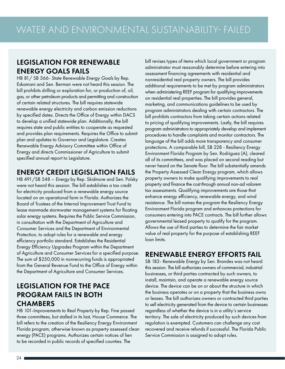#### LEGISLATION FOR RENEWABLE ENERGY GOALS FAILS

HB 81/ SB 366- *State Renewable Energy Goals* by Rep. Eskamani and Sen. Berman were not heard this session. The bill prohibits drilling or exploration for, or production of, oil, gas, or other petroleum products and permitting and construction of certain related structures. The bill requires statewide renewable energy electricity and carbon emission reductions by specified dates. Directs the Office of Energy within DACS to develop a unified statewide plan. Additionally, the bill requires state and public entities to cooperate as requested and provides plan requirements. Requires the Office to submit plan and updates to Governor and Legislature. Creates Renewable Energy Advisory Committee within Office of Energy and directs Commissioner of Agriculture to submit specified annual report to Legislature.

### ENERGY CREDIT LEGISLATION FAILS

HB 491/SB 548 – *Energy* by Rep. Skidmore and Sen. Polsky were not heard this session. The bill establishes a tax credit for electricity produced from a renewable energy source located on an operational farm in Florida. Authorizes the Board of Trustees of the Internal Improvement Trust Fund to lease manmade stormwater management systems for floating solar energy systems. Requires the Public Service Commission, in consultation with the Department of Agriculture and Consumer Services and the Department of Environmental Protection, to adopt rules for a renewable and energy efficiency portfolio standard. Establishes the Residential Energy Efficiency Upgrades Program within the Department of Agriculture and Consumer Services for a specified purpose. The sum of \$250,000 in nonrecurring funds is appropriated from the General Revenue Fund to the Office of Energy within the Department of Agriculture and Consumer Services.

#### LEGISLATION FOR THE PACE PROGRAM FAILS IN BOTH **CHAMBERS**

HB *101-Improvements to Real Property* by Rep. Fine passed three committees, but stalled in its last, House Commerce. The bill refers to the creation of the Resiliency Energy Environment Florida program, otherwise known as property assessed clean energy (PACE) programs. Authorizes certain notices of lien to be recorded in public records of specified counties. The

bill revises types of items which local government or program administrator must reasonably determine before entering into assessment financing agreements with residential and nonresidential real property owners. The bill provides additional requirements to be met by program administrators when administering REEF program for qualifying improvements on residential real properties. The bill provides general, marketing, and communications guidelines to be used by program administrators dealing with certain contractors. The bill prohibits contractors from taking certain actions related to pricing of qualifying improvements. Lastly, the bill requires program administrators to appropriately develop and implement procedures to handle complaints and monitor contractors. The language of the bill adds more transparency and consumer protections. A comparable bill, SB 228 - Resiliency Energy Environment Florida Program by Sen. Rodriguez (A), cleared all of its committees, and was placed on second reading but never heard on the Senate floor. The bill substantially amends the Property Assessed Clean Energy program, which allows property owners to make qualifying improvements to real property and finance the cost through annual non-ad valorem tax assessments. Qualifying improvements are those that enhance energy efficiency, renewable energy, and wind resistance. The bill names the program the Resiliency Energy Environment Florida program and enhances protections for consumers entering into PACE contracts. The bill further allows governmental leased property to qualify for the program. Allows the use of third parties to determine the fair market value of real property for the purpose of establishing REEF loan limits.

#### RENEWABLE ENERGY EFFORTS FAIL

SB 182- *Renewable Energy* by Sen. Brandes was not heard this session. The bill authorizes owners of commercial, industrial businesses, or third parties contracted by such owners, to install, maintain, and operate a renewable energy source device. The device can be on or about the structure in which the business operates or on a property that the business owns or leases. The bill authorizes owners or contracted third parties to sell electricity generated from the device to certain businesses regardless of whether the device is in a utility's service territory. The sale of electricity produced by such devices from regulation is exempted. Customers can challenge any cost recovered and receive refunds if successful. The Florida Public Service Commission is assigned to adopt rules.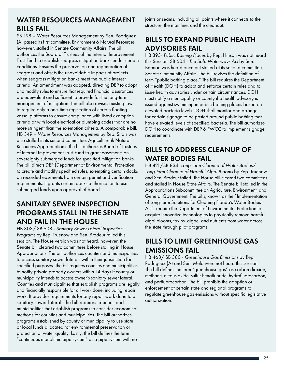#### WATER RESOURCES MANAGEMENT BILLS FAIL

SB 198 – *Water Resources Management* by Sen. Rodriguez (A) passed its first committee, Environment & Natural Resources, however, stalled in Senate Community Affairs. The bill authorizes the Board of Trustees of the Internal Improvement Trust Fund to establish seagrass mitigation banks under certain conditions. Ensures the preservation and regeneration of seagrass and offsets the unavoidable impacts of projects when seagrass mitigation banks meet the public interest criteria. An amendment was adopted, directing DEP to adopt and modify rules to ensure that required financial assurances are equivalent and sufficient to provide for the long-term management of mitigation. The bill also revises existing law to require only a one-time registration of certain floating vessel platforms to ensure compliance with listed exemption criteria or with local electrical or plumbing codes that are no more stringent than the exemption criteria. A comparable bill, HB 349 – *Water Resources Management* by Rep. Sirois was also stalled in its second committee, Agriculture & Natural Resources Appropriations. The bill authorizes Board of Trustees of Internal Improvement Trust Fund to grant easements on sovereignty submerged lands for specified mitigation banks. The bill directs DEP (Department of Environmental Protection) to create and modify specified rules, exempting certain docks on recorded easements from certain permit and verification requirements. It grants certain docks authorization to use submerged lands upon approval of board.

#### SANITARY SEWER INSPECTION PROGRAMS STALL IN THE SENATE AND FAIL IN THE HOUSE

HB 303/ SB 608 - *Sanitary Sewer Lateral Inspection Programs* by Rep. Truenow and Sen. Brodeur failed this session. The House version was not heard, however, the Senate bill cleared two committees before stalling in House Appropriations. The bill authorizes counties and municipalities to access sanitary sewer laterals within their jurisdiction for specified purposes. The bill requires counties and municipalities to notify private property owners within 14 days if county or municipality intends to access owner's sanitary sewer lateral. Counties and municipalities that establish programs are legally and financially responsible for all work done, including repair work. It provides requirements for any repair work done to a sanitary sewer lateral. The bill requires counties and municipalities that establish programs to consider economical methods for counties and municipalities. The bill authorizes programs established by county or municipality to use state or local funds allocated for environmental preservation or protection of water quality. Lastly, the bill defines the term "continuous monolithic pipe system" as a pipe system with no

joints or seams, including all points where it connects to the structure, the mainline, and the cleanout.

## BILLS TO EXPAND PUBLIC HEALTH ADVISORIES FAIL

HB 393- *Public Bathing Places* by Rep. Hinson was not heard this Session. SB 604 - *The Safe Waterways Act* by Sen. Berman was heard once but stalled at its second committee, Senate Community Affairs. The bill revises the definition of term "public bathing place." The bill requires the Department of Health (DOH) to adopt and enforce certain rules and to issue health advisories under certain circumstances. DOH must notify a municipality or county if a health advisory is issued against swimming in public bathing places based on elevated bacteria levels. DOH shall monitor and arrange for certain signage to be posted around public bathing that have elevated levels of specified bacteria. The bill authorizes DOH to coordinate with DEP & FWCC to implement signage requirements.

## BILLS TO ADDRESS CLEANUP OF WATER BODIES FAIL

HB 421/SB 834- *Long-term Cleanup of Water Bodies/ Long-term Cleanup of Harmful Algal Blooms* by Rep. Truenow and Sen. Brodeur failed. The House bill cleared two committees and stalled in House State Affairs. The Senate bill stalled in the Appropriations Subcommittee on Agriculture, Environment, and General Government. The bills, known as the "Implementation of Long-term Solutions for Cleaning Florida's Water Bodies Act", require the Department of Environmental Protection to acquire innovative technologies to physically remove harmful algal blooms, toxins, algae, and nutrients from water across the state through pilot programs.

### BILLS TO LIMIT GREENHOUSE GAS EMISSIONS FAIL

HB 463/ SB 380 - *Greenhouse Gas Emissions* by Rep. Rodriguez (A) and Sen. Melo were not heard this session. The bill defines the term "greenhouse gas" as carbon dioxide, methane, nitrous oxide, sulfur hexafluoride, hydrofluorocarbon, and perfluorocarbon. The bill prohibits the adoption or enforcement of certain state and regional programs to regulate greenhouse gas emissions without specific legislative authorization.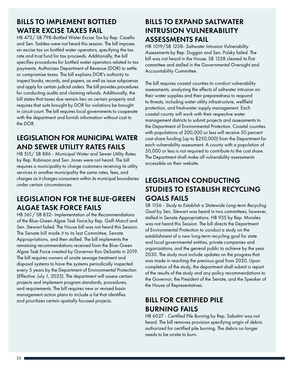#### BILLS TO IMPLEMENT BOTTLED WATER EXCISE TAXES FAIL

HB 473/ SB 798-*Bottled Water Excise Tax* by Rep. Casello and Sen. Taddeo were not heard this session. The bill imposes an excise tax on bottled water operators, specifying the tax rate and trust fund for tax proceeds. Additionally, the bill specifies procedures for bottled water operators related to tax payments. Authorizes Department of Revenue (DOR) to settle or compromise taxes. The bill explains DOR's authority to inspect books, records, and papers, as well as issue subpoenas and apply for certain judicial orders. The bill provides procedures for conducting audits and claiming refunds. Additionally, the bill states that taxes due remain lien on certain property and requires that suits brought by DOR for violations be brought in circuit court. The bill requires local governments to cooperate with the department and furnish information without cost to the DOR.

#### LEGISLATION FOR MUNICIPAL WATER AND SEWER UTILITY RATES FAILS

HB 515/ SB 886 - *Municipal Water and Sewer Utility Rates*  by Rep. Robinson and Sen. Jones were not heard. The bill requires a municipality to charge customers receiving its utility services in another municipality the same rates, fees, and charges as it charges consumers within its municipal boundaries under certain circumstances.

#### LEGISLATION FOR THE BLUE-GREEN ALGAE TASK FORCE FAILS

HB 561/ SB 832- *Implementation of the Recommendations of the Blue-Green Algae Task Force* by Rep. Goff-Marcil and Sen. Stewart failed. The House bill was not heard this Session. The Senate bill made it to its last Committee, Senate Appropriations, and then stalled. The bill implements the remaining recommendations received from the Blue-Green Algae Task Force created by Governor Ron DeSantis in 2019. The bill requires owners of onsite sewage treatment and disposal systems to have the systems periodically inspected every 5 years by the Department of Environmental Protection (Effective: July 1, 2025). The department will assess certain projects and implement program standards, procedures, and requirements. The bill requires new or revised basin management action plans to include a list that identifies and prioritizes certain spatially focused projects.

#### BILLS TO EXPAND SALTWATER INTRUSION VULNERABILITY ASSESSMENTS FAIL

HB 1019/SB 1238- *Saltwater Intrusion Vulnerability Assessments* by Rep. Duggan and Sen. Polsky failed. The bill was not heard in the House. SB 1238 cleared its first committee and stalled in the Governmental Oversight and Accountability Committee.

The bill requires coastal counties to conduct vulnerability assessments, analyzing the effects of saltwater intrusion on their water supplies and their preparedness to respond to threats, including water utility infrastructure, wellfield protection, and freshwater supply management. Each coastal county will work with their respective water management districts to submit projects and assessments to the Department of Environmental Protection. Coastal counties with populations of 200,000 or less will receive 50 percent cost-share funding (up to \$250,000) from the Department for each vulnerability assessment. A county with a population of 50,000 or less is not required to contribute to the cost share. The Department shall make all vulnerability assessments accessible on their website.

## LEGISLATION CONDUCTING STUDIES TO ESTABLISH RECYCLING GOALS FAILS

SB 1156 - *Study to Establish a Statewide Long-term Recycling Goal* by Sen. Stewart was heard in two committees, however, stalled in Senate Appropriations. HB 935 by Rep. Morales was not heard this Session. The bill directs the Department of Environmental Protection to conduct a study on the establishment of a new long-term recycling goal for state and local governmental entities, private companies and organizations, and the general public to achieve by the year 2030. The study must include updates on the progress that was made in reaching the previous goal from 2020. Upon completion of the study, the department shall submit a report of the results of the study and any policy recommendations to the Governor, the President of the Senate, and the Speaker of the House of Representatives.

## BILL FOR CERTIFIED PILE BURNING FAILS

HB 6027 - *Certified Pile Burning* by Rep. Sabatini was not heard. The bill removes provision specifying origin of debris authorized for certified pile burning. The debris no longer needs to be onsite to burn.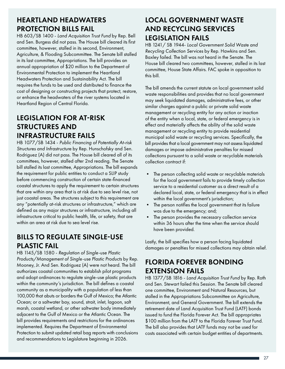#### HEARTLAND HEADWATERS PROTECTION BILLS FAIL

HB 603/SB 1400 - *Land Acquisition Trust Fund* by Rep. Bell and Sen. Burgess did not pass. The House bill cleared its first committee, however, stalled in its second, Environment, Agriculture, & Flooding Subcommittee. The Senate bill stalled in its last committee, Appropriations. The bill provides an annual appropriation of \$20 million to the Department of Environmental Protection to implement the Heartland Headwaters Protection and Sustainability Act. The bill requires the funds to be used and distributed to finance the cost of designing or constructing projects that protect, restore, or enhance the headwaters of the river systems located in Heartland Region of Central Florida.

#### LEGISLATION FOR AT-RISK STRUCTURES AND INFRASTRUCTURE FAILS

HB 1077/SB 1434 - *Public Financing of Potentially At-risk Structures and Infrastructure* by Rep. Hunschofsky and Sen. Rodriguez (A) did not pass. The House bill cleared all of its committees, however, stalled after 2nd reading. The Senate bill stalled its last committee, Appropriations. The bill expands the requirement for public entities to conduct a SLIP study before commencing construction of certain state-financed coastal structures to apply the requirement to certain structures that are within any area that is at risk due to sea level rise, not just coastal areas. The structures subject to this requirement are any "potentially at-risk structures or infrastructure," which are defined as any major structures or infrastructure, including all infrastructure critical to public health, life, or safety, that are within an area at risk due to sea level rise.

#### BILLS TO REGULATE SINGLE-USE PLASTIC FAIL

HB 1145/SB 1580 - *Regulation of Single-use Plastic Products/Management of Single-use Plastic Products* by Rep. Mooney, Jr. And Sen. Rodriguez (A) were not heard. The bill authorizes coastal communities to establish pilot programs and adopt ordinances to regulate single-use plastic products within the community's jurisdiction. The bill defines a coastal community as a municipality with a population of less than 100,000 that abuts or borders the Gulf of Mexico; the Atlantic Ocean; or a saltwater bay, sound, strait, inlet, lagoon, salt marsh, coastal wetland, or other saltwater body immediately adjacent to the Gulf of Mexico or the Atlantic Ocean. The bill provides requirements and restrictions for the ordinances implemented. Requires the Department of Environmental Protection to submit updated retail bag reports with conclusions and recommendations to Legislature beginning in 2026.

#### LOCAL GOVERNMENT WASTE AND RECYCLING SERVICES LEGISLATION FAILS

HB 1241/ SB 1944- *Local Government Solid Waste and Recycling Collection Services* by Rep. Hawkins and Sen. Baxley failed. The bill was not heard in the Senate. The House bill cleared two committees, however, stalled in its last committee, House State Affairs. FAC spoke in opposition to this bill.

The bill amends the current statute on local government solid waste responsibilities and provides that no local government may seek liquidated damages, administrative fees, or other similar charges against a public or private solid waste management or recycling entity for any action or inaction of the entity when a local, state, or federal emergency is in effect and materially affects the ability of the solid waste management or recycling entity to provide residential municipal solid waste or recycling services. Specifically, the bill provides that a local government may not assess liquidated damages or impose administrative penalties for missed collections pursuant to a solid waste or recyclable materials collection contract if:

- The person collecting solid waste or recyclable materials for the local government fails to provide timely collection service to a residential customer as a direct result of a declared local, state, or federal emergency that is in effect within the local government's jurisdiction;
- The person notifies the local government that its failure was due to the emergency; and;
- The person provides the necessary collection service within 36 hours after the time when the service should have been provided.

Lastly, the bill specifies how a person facing liquidated damages or penalties for missed collections may obtain relief.

### FLORIDA FOREVER BONDING EXTENSION FAILS

HB 1377/SB 1816 - *Land Acquisition Trust Fund* by Rep. Roth and Sen. Stewart failed this Session. The Senate bill cleared one committee, Environment and Natural Resources, but stalled in the Appropriations Subcommittee on Agriculture, Environment, and General Government. The bill extends the retirement date of Land Acquisition Trust Fund (LATF) bonds issued to fund the Florida Forever Act. The bill appropriates \$100 million from the LATF to the Florida Forever Trust Fund. The bill also provides that LATF funds may not be used for costs associated with certain budget entities of departments.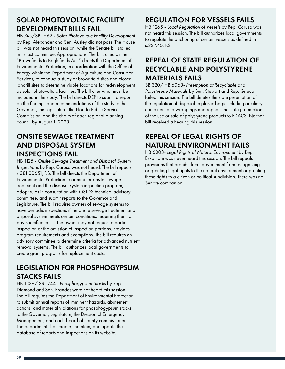### SOLAR PHOTOVOLTAIC FACILITY DEVELOPMENT BILLS FAIL

HB 745/SB 1562 - *Solar Photovoltaic Facility Development*  by Rep. Alexander and Sen. Ausley did not pass. The House bill was not heard this session, while the Senate bill stalled in its last committee, Appropriations. The bill, cited as the "Brownfields to Brightfields Act," directs the Department of Environmental Protection, in coordination with the Office of Energy within the Department of Agriculture and Consumer Services, to conduct a study of brownfield sites and closed landfill sites to determine viable locations for redevelopment as solar photovoltaic facilities. The bill cites what must be included in the study. The bill directs DEP to submit a report on the findings and recommendations of the study to the Governor, the Legislature, the Florida Public Service Commission, and the chairs of each regional planning council by August 1, 2023.

#### ONSITE SEWAGE TREATMENT AND DISPOSAL SYSTEM INSPECTIONS FAIL

HB 1125 - *Onsite Sewage Treatment and Disposal System Inspections* by Rep. Caruso was not heard. The bill repeals s.381.00651, F.S. The bill directs the Department of Environmental Protection to administer onsite sewage treatment and the disposal system inspection program, adopt rules in consultation with OSTDS technical advisory committee, and submit reports to the Governor and Legislature. The bill requires owners of sewage systems to have periodic inspections if the onsite sewage treatment and disposal system meets certain conditions, requiring them to pay specified costs. The owner may not request a partial inspection or the omission of inspection portions. Provides program requirements and exemptions. The bill requires an advisory committee to determine criteria for advanced nutrient removal systems. The bill authorizes local governments to create grant programs for replacement costs.

## LEGISLATION FOR PHOSPHOGYPSUM STACKS FAILS

HB 1339/ SB 1744 - *Phosphogypsum Stacks* by Rep. Diamond and Sen. Brandes were not heard this session. The bill requires the Department of Environmental Protection to submit annual reports of imminent hazards, abatement actions, and material violations for phosphogypsum stacks to the Governor, Legislature, the Division of Emergency Management, and each board of county commissioners. The department shall create, maintain, and update the database of reports and inspections on its website.

## REGULATION FOR VESSELS FAILS

HB 1265 - *Local Regulation of Vessels* by Rep. Caruso was not heard this session. The bill authorizes local governments to regulate the anchoring of certain vessels as defined in s.327.40, F.S.

## REPEAL OF STATE REGULATION OF RECYCLABLE AND POLYSTYRENE MATERIALS FAILS

SB 320/ HB 6063- *Preemption of Recyclable and Polystyrene Materials* by Sen. Stewart and Rep. Grieco failed this session. The bill deletes the state preemption of the regulation of disposable plastic bags including auxiliary containers and wrappings and repeals the state preemption of the use or sale of polystyrene products to FDACS. Neither bill received a hearing this session.

## REPEAL OF LEGAL RIGHTS OF NATURAL ENVIRONMENT FAILS

HB 6003- *Legal Rights of Natural Environment* by Rep. Eskamani was never heard this session. The bill repeals provisions that prohibit local government from recognizing or granting legal rights to the natural environment or granting these rights to a citizen or political subdivision. There was no Senate companion.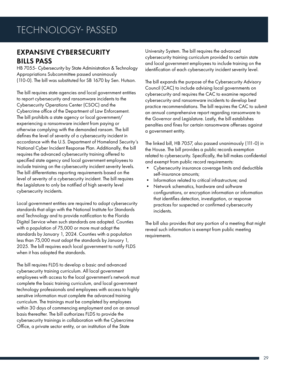#### EXPANSIVE CYBERSECURITY BILLS PASS

HB 7055- *Cybersecurity* by State Administration & Technology Appropriations Subcommittee passed unanimously (110-0). The bill was substituted for SB 1670 by Sen. Hutson.

The bill requires state agencies and local government entities to report cybersecurity and ransomware incidents to the Cybersecurity Operations Center (CSOC) and the Cybercrime office of the Department of Law Enforcement. The bill prohibits a state agency or local government/ experiencing a ransomware incident from paying or otherwise complying with the demanded ransom. The bill defines the level of severity of a cybersecurity incident in accordance with the U.S. Department of Homeland Security's National Cyber Incident Response Plan. Additionally, the bill requires the advanced cybersecurity training offered to specified state agency and local government employees to include training on the cybersecurity incident severity levels. The bill differentiates reporting requirements based on the level of severity of a cybersecurity incident. The bill requires the Legislature to only be notified of high severity level cybersecurity incidents.

Local government entities are required to adopt cybersecurity standards that align with the National Institute for Standards and Technology and to provide notification to the Florida Digital Service when such standards are adopted. Counties with a population of 75,000 or more must adopt the standards by January 1, 2024. Counties with a population less than 75,000 must adopt the standards by January 1, 2025. The bill requires each local government to notify FLDS when it has adopted the standards.

The bill requires FLDS to develop a basic and advanced cybersecurity training curriculum. All local government employees with access to the local government's network must complete the basic training curriculum, and local government technology professionals and employees with access to highly sensitive information must complete the advanced training curriculum. The trainings must be completed by employees within 30 days of commencing employment and on an annual basis thereafter. The bill authorizes FLDS to provide the cybersecurity trainings in collaboration with the Cybercrime Office, a private sector entity, or an institution of the State

University System. The bill requires the advanced cybersecurity training curriculum provided to certain state and local government employees to include training on the identification of each cybersecurity incident severity level.

The bill expands the purpose of the Cybersecurity Advisory Council (CAC) to include advising local governments on cybersecurity and requires the CAC to examine reported cybersecurity and ransomware incidents to develop best practice recommendations. The bill requires the CAC to submit an annual comprehensive report regarding ransomware to the Governor and Legislature. Lastly, the bill establishes penalties and fines for certain ransomware offenses against a government entity.

The linked bill, HB 7057, also passed unanimously (111-0) in the House. The bill provides a public records exemption related to cybersecurity. Specifically, the bill makes confidential and exempt from public record requirements:

- Cybersecurity insurance coverage limits and deductible self-insurance amounts;
- Information related to critical infrastructure; and
- Network schematics, hardware and software configurations, or encryption information or information that identifies detection, investigation, or response practices for suspected or confirmed cybersecurity incidents.

The bill also provides that any portion of a meeting that might reveal such information is exempt from public meeting requirements.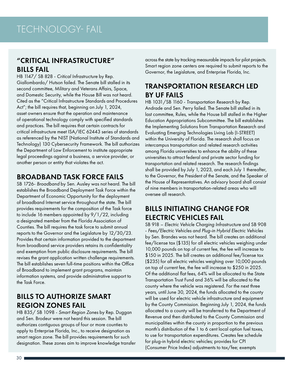#### "CRITICAL INFRASTRUCTURE" BILLS FAIL

HB 1147/ SB 828 - *Critical Infrastructure* by Rep. Giallombardo/ Hutson failed. The Senate bill stalled in its second committee, Military and Veterans Affairs, Space, and Domestic Security, while the House Bill was not heard. Cited as the "Critical Infrastructure Standards and Procedures Act"; the bill requires that, beginning on July 1, 2024, asset owners ensure that the operation and maintenance of operational technology comply with specified standards and practices. The bill requires that certain contracts for critical infrastructure meet ISA/IEC 62443 series of standards as referenced by the NIST (National Institute of Standards and Technology) 130 Cybersecurity Framework. The bill authorizes the Department of Law Enforcement to institute appropriate legal proceedings against a business, a service provider, or another person or entity that violates the act.

#### BROADBAND TASK FORCE FAILS

SB 1726- *Broadband* by Sen. Ausley was not heard. The bill establishes the Broadband Deployment Task Force within the Department of Economic Opportunity for the deployment of broadband Internet service throughout the state. The bill provides requirements for the composition of the Task force to include 16 members appointed by 9/1/22, including a designated member from the Florida Association of Counties. The bill requires the task force to submit annual reports to the Governor and the Legislature by 12/30/23. Provides that certain information provided to the department from broadband service providers retains its confidentiality and exemption from public disclosure requirements. The bill revises the grant application written challenge requirements. The bill establishes seven full-time positions within the Office of Broadband to implement grant programs, maintain information systems, and provide administrative support to the Task Force.

#### BILLS TO AUTHORIZE SMART REGION ZONES FAIL

HB 835/ SB 1098 - *Smart Region Zones* by Rep. Duggan and Sen. Brodeur were not heard this session. The bill authorizes contiguous groups of four or more counties to apply to Enterprise Florida, Inc., to receive designation as smart region zone. The bill provides requirements for such designation. These zones aim to improve knowledge transfer across the state by tracking measurable impacts for pilot projects. Smart region zone centers are required to submit reports to the Governor, the Legislature, and Enterprise Florida, Inc.

## TRANSPORTATION RESEARCH LED BY UF FAILS

HB 1031/SB 1160 - *Transportation Research* by Rep. Andrade and Sen. Perry failed. The Senate bill stalled in its last committee, Rules, while the House bill stalled in the Higher Education Appropriations Subcommittee. The bill establishes the Implementing Solutions from Transportation Research and Evaluating Emerging Technologies Living Lab (I-STREET) within the University of Florida. The research shall focus on intercampus transportation and related research activities among Florida universities to enhance the ability of these universities to attract federal and private sector funding for transportation and related research. The research findings shall be provided by July 1, 2023, and each July 1 thereafter, to the Governor, the President of the Senate, and the Speaker of the House of Representatives. An advisory board shall consist of nine members in transportation-related areas who will oversee all research.

#### BILLS INITIATING CHANGE FOR ELECTRIC VEHICLES FAIL

SB 918 – *Electric Vehicle Charging Infrastructure* and SB 908 - *Fees/Electric Vehicles and Plug-in Hybrid Electric Vehicles*  by Sen. Brandes was not heard. The bill creates an additional fee/license tax (\$135) for all electric vehicles weighing under 10,000 pounds on top of current fee, the fee will increase to \$150 in 2025. The bill creates an additional fee/license tax (\$235) for all electric vehicles weighing over 10,000 pounds on top of current fee, the fee will increase to \$250 in 2025. Of the additional flat fees, 64% will be allocated to the State Transportation Trust Fund and 36% will be allocated to the county where the vehicle was registered. For the next three years, until June 30, 2024, the funds allocated to the county will be used for electric vehicle infrastructure and equipment by the County Commission. Beginning July 1, 2024, the funds allocated to a county will be transferred to the Department of Revenue and then distributed to the County Commission and municipalities within the county in proportion to the previous month's distribution of the 1 to 6 cent local option fuel taxes, to use for transportation expenditures. Creates fee schedule for plug-in hybrid electric vehicles; provides for CPI (Consumer Price Index) adjustments to tax/fee; exempts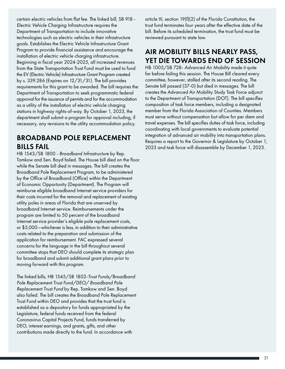certain electric vehicles from flat fee. The linked bill, SB 918 - *Electric Vehicle Charging Infrastructure* requires the Department of Transportation to include innovative technologies such as electric vehicles in their infrastructure goals. Establishes the Electric Vehicle Infrastructure Grant Program to provide financial assistance and encourage the installation of electric vehicle charging infrastructure. Beginning in fiscal year 2024-2025, all increased revenues from the State Transportation Trust Fund must be used to fund the EV (Electric Vehicle) Infrastructure Grant Program created by s. 339.286 (Expires on 12/31/31). The bill provides requirements for this grant to be awarded. The bill requires the Department of Transportation to seek programmatic federal approval for the issuance of permits and for the accommodation as a utility of the installation of electric vehicle charging stations in highway rights-of-way. By October 1, 2023, the department shall submit a program for approval including, if necessary, any revisions to the utility accommodation policy.

#### BROADBAND POLE REPLACEMENT BILLS FAIL

HB 1543/SB 1800 - *Broadband Infrastructure* by Rep. Tomkow and Sen. Boyd failed. The House bill died on the floor while the Senate bill died in messages. The bill creates the Broadband Pole Replacement Program, to be administered by the Office of Broadband (Office) within the Department of Economic Opportunity (Department). The Program will reimburse eligible broadband Internet service providers for their costs incurred for the removal and replacement of existing utility poles in areas of Florida that are unserved by broadband Internet service. Reimbursements under the program are limited to 50 percent of the broadband Internet service provider's eligible pole replacement costs, or \$5,000—whichever is less, in addition to their administrative costs related to the preparation and submission of the application for reimbursement. FAC expressed several concerns for the language in the bill throughout several committee stops that DEO should complete its strategic plan for broadband and submit additional grant plans prior to moving forward with this program.

The linked bills, HB 1545/SB 1802-*Trust Funds/Broadband Pole Replacement Trust Fund/DEO/ Broadband Pole Replacement Trust Fund* by Rep. Tomkow and Sen. Boyd also failed. The bill creates the Broadband Pole Replacement Trust Fund within DEO and provides that the trust fund is established as a depository for funds appropriated by the Legislature, federal funds received from the federal Coronavirus Capital Projects Fund, funds transferred by DEO, interest earnings, and grants, gifts, and other contributions made directly to the fund. In accordance with

article III, section 19(f)(2) of the Florida Constitution, the trust fund terminates four years after the effective date of the bill. Before its scheduled termination, the trust fund must be reviewed pursuant to state law.

#### AIR MOBILITY BILLS NEARLY PASS, YET DIE TOWARDS END OF SESSION

HB 1005/SB 728- *Advanced Air Mobility* made it quite far before failing this session. The House Bill cleared every committee, however, stalled after its second reading. The Senate bill passed (37-0) but died in messages. The bill creates the Advanced Air Mobility Study Task Force adjunct to the Department of Transportation (DOT). The bill specifies composition of task force members, including a designated member from the Florida Association of Counties. Members must serve without compensation but allow for per diem and travel expenses. The bill specifies duties of task force, including coordinating with local governments to evaluate potential integration of advanced air mobility into transportation plans. Requires a report to the Governor & Legislature by October 1, 2023 and task force will disassemble by December 1, 2023.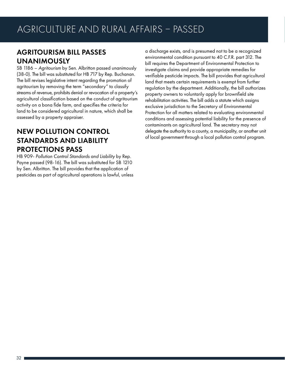## AGRITOURISM BILL PASSES UNANIMOUSLY

SB 1186 – *Agritourism* by Sen. Albritton passed unanimously (38-0). The bill was substituted for HB 717 by Rep. Buchanan. The bill revises legislative intent regarding the promotion of agritourism by removing the term "secondary" to classify streams of revenue, prohibits denial or revocation of a property's agricultural classification based on the conduct of agritourism activity on a bona fide farm, and specifies the criteria for land to be considered agricultural in nature, which shall be assessed by a property appraiser.

#### NEW POLLUTION CONTROL STANDARDS AND LIABILITY PROTECTIONS PASS

HB 909- *Pollution Control Standards and Liability* by Rep. Payne passed (98-16). The bill was substituted for SB 1210 by Sen. Albritton. The bill provides that the application of pesticides as part of agricultural operations is lawful, unless a discharge exists, and is presumed not to be a recognized environmental condition pursuant to 40 C.F.R. part 312. The bill requires the Department of Environmental Protection to investigate claims and provide appropriate remedies for verifiable pesticide impacts. The bill provides that agricultural land that meets certain requirements is exempt from further regulation by the department. Additionally, the bill authorizes property owners to voluntarily apply for brownfield site rehabilitation activities. The bill adds a statute which assigns exclusive jurisdiction to the Secretary of Environmental Protection for all matters related to evaluating environmental conditions and assessing potential liability for the presence of contaminants on agricultural land. The secretary may not delegate the authority to a county, a municipality, or another unit of local government through a local pollution control program.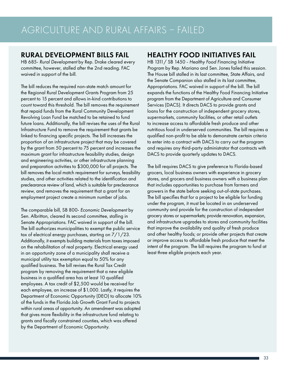#### RURAL DEVELOPMENT BILLS FAIL

HB 685- *Rural Development* by Rep. Drake cleared every committee, however, stalled after the 2nd reading. FAC waived in support of the bill.

The bill reduces the required non-state match amount for the Regional Rural Development Grants Program from 25 percent to 15 percent and allows in-kind contributions to count toward this threshold. The bill removes the requirement that repaid funds from the Rural Community Development Revolving Loan Fund be matched to be retained to fund future loans. Additionally, the bill revises the uses of the Rural Infrastructure Fund to remove the requirement that grants be linked to financing specific projects. The bill increases the proportion of an infrastructure project that may be covered by the grant from 50 percent to 75 percent and increases the maximum grant for infrastructure feasibility studies, design and engineering activities, or other infrastructure planning and preparation activities to \$300,000 for all projects. The bill removes the local match requirement for surveys, feasibility studies, and other activities related to the identification and preclearance review of land, which is suitable for preclearance review, and removes the requirement that a grant for an employment project create a minimum number of jobs.

The comparable bill, SB 800- *Economic Development* by Sen. Albritton, cleared its second committee, stalling in Senate Appropriations. FAC waived in support of the bill. The bill authorizes municipalities to exempt the public service tax of electrical energy purchases, starting on 7/1/23. Additionally, it exempts building materials from taxes imposed on the rehabilitation of real property. Electrical energy used in an opportunity zone of a municipality shall receive a municipal utility tax exemption equal to 50% for any qualified business. The bill revises the Rural Tax Credit program by removing the requirement that a new eligible business in a qualified area has at least 10 qualified employees. A tax credit of \$2,500 would be received for each employee, an increase of \$1,000. Lastly, it requires the Department of Economic Opportunity (DEO) to allocate 10% of the funds in the Florida Job Growth Grant Fund to projects within rural areas of opportunity. An amendment was adopted that gives more flexibility in the infrastructure fund relating to grants and fiscally constrained counties, which was offered by the Department of Economic Opportunity.

#### HEALTHY FOOD INITIATIVES FAIL

HB 1311/ SB 1450 - *Healthy Food Financing Initiative Program* by Rep. Mariano and Sen. Jones failed this session. The House bill stalled in its last committee, State Affairs, and the Senate Companion also stalled in its last committee, Appropriations. FAC waived in support of the bill. The bill expands the functions of the Healthy Food Financing Initiative program from the Department of Agriculture and Consumer Services (DACS). It directs DACS to provide grants and loans for the construction of independent grocery stores, supermarkets, community facilities, or other retail outlets to increase access to affordable fresh produce and other nutritious food in underserved communities. The bill requires a qualified non-profit to be able to demonstrate certain criteria to enter into a contract with DACS to carry out the program and requires any third-party administrator that contracts with DACS to provide quarterly updates to DACS.

The bill requires DACS to give preference to Florida-based grocers, local business owners with experience in grocery stores, and grocers and business owners with a business plan that includes opportunities to purchase from farmers and growers in the state before seeking out-of-state purchases. The bill specifies that for a project to be eligible for funding under the program, it must be located in an underserved community and provide for the construction of independent grocery stores or supermarkets; provide renovation, expansion, and infrastructure upgrades to stores and community facilities that improve the availability and quality of fresh produce and other healthy foods; or provide other projects that create or improve access to affordable fresh produce that meet the intent of the program. The bill requires the program to fund at least three eligible projects each year.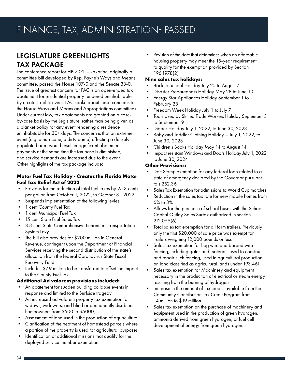## LEGISLATURE GREENLIGHTS TAX PACKAGE

The conference report for HB 7071 – *Taxation*, originally a committee bill developed by Rep. Payne's Ways and Means committee, passed the House 107-0 and the Senate 33-0. The issue of greatest concern for FAC is an open-ended tax abatement for residential property rendered uninhabitable by a catastrophic event. FAC spoke about these concerns to the House Ways and Means and Appropriations committees. Under current law, tax abatements are granted on a caseby-case basis by the Legislature, rather than being given as a blanket policy for any event rendering a residence uninhabitable for 30+ days. The concern is that an extreme event (e.g. a hurricane, a dirty bomb) affecting a densely populated area would result in significant abatement payments at the same time the tax base is diminished, and service demands are increased due to the event. Other highlights of the tax package include:

#### **Motor Fuel Tax Holiday - Creates the Florida Motor Fuel Tax Relief Act of 2022**

- Provides for the reduction of total fuel taxes by 25.3 cents per gallon from October 1, 2022, to October 31, 2022.
- Suspends implementation of the following levies:
- 1 cent County Fuel Tax
- 1 cent Municipal Fuel Tax
- 15 cent State Fuel Sales Tax
- 8.3 cent State Comprehensive Enhanced Transportation System Levy
- The bill also provides for \$200 million in General Revenue, contingent upon the Department of Financial Services receiving the second distribution of the state's allocation from the federal Coronavirus State Fiscal Recovery Fund
- Includes \$7.9 million to be transferred to offset the impact to the County Fuel Tax

#### **Additional Ad valorem provisions included:**

- An abatement for sudden building collapse events in response and limited to the Surfside tragedy
- An increased ad valorem property tax exemption for widows, widowers, and blind or permanently disabled homeowners from \$500 to \$5000,
- Assessment of land used in the production of aquaculture
- Clarification of the treatment of homestead parcels where a portion of the property is used for agricultural purposes
- Identification of additional missions that qualify for the deployed service member exemption

• Revision of the date that determines when an affordable housing property may meet the 15-year requirement to qualify for the exemption provided by Section 196.1978(2)

#### **Nine sales tax holidays:**

- Back to School Holiday July 25 to August 7
- Disaster Preparedness Holiday May 28 to June 10
- Energy Star Appliances Holiday September 1 to February 28
- Freedom Week Holiday July 1 to July 7
- Tools Used by Skilled Trade Workers Holiday September 3 to September 9
- Diaper Holiday July 1, 2022, to June 30, 2023
- Baby and Toddler Clothing Holiday July 1, 2022, to June 30, 2023
- Children's Books Holiday May 14 to August 14
- Impact resistant Windows and Doors Holiday July 1, 2022, to June 30, 2024

#### **Other Provisions:**

- Doc Stamp exemption for any federal loan related to a state of emergency declared by the Governor pursuant to s.252.36
- Sales Tax Exemption for admissions to World Cup matches
- Reduction in the sales tax rate for new mobile homes from 6% to 3%
- Allows for the purchase of school buses with the School Capital Outlay Sales Surtax authorized in section 212.055(6).
- Total sales tax exemption for all farm trailers. Previously only the first \$20,000 of sale price was exempt for trailers weighing 12,000 pounds or less
- Sales tax exemption for hog wire and barbed wire fencing, including gates and materials used to construct and repair such fencing, used in agricultural production on land classified as agricultural lands under 193.461
- Sales tax exemption for Machinery and equipment necessary in the production of electrical or steam energy resulting from the burning of hydrogen
- Increase in the amount of tax credits available from the Community Contribution Tax Credit Program from 14 million to \$19 million
- Sales tax exemption on the purchase of machinery and equipment used in the production of green hydrogen, ammonia derived from green hydrogen, or fuel cell development of energy from green hydrogen.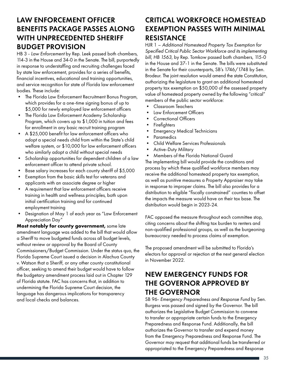#### LAW ENFORCEMENT OFFICER BENEFITS PACKAGE PASSES ALONG WITH UNPRECEDENTED SHERIFF BUDGET PROVISION

HB 3 - *Law Enforcement* by Rep. Leek passed both chambers, 114-3 in the House and 34-0 in the Senate. The bill, purportedly in response to understaffing and recruiting challenges faced by state law enforcement, provides for a series of benefits, financial incentives, educational and training opportunities, and service recognition for state of Florida law enforcement bodies. These include:

- The Florida Law Enforcement Recruitment Bonus Program, which provides for a one-time signing bonus of up to \$5,000 for newly employed law enforcement officers
- The Florida Law Enforcement Academy Scholarship Program, which covers up to \$1,000 in tuition and fees for enrollment in any basic recruit training program
- A \$25,000 benefit for law enforcement officers who adopt a special needs child from within the State's child welfare system, or \$10,000 for law enforcement officers who similarly adopt a child without special needs
- Scholarship opportunities for dependent children of a law enforcement officer to attend private school.
- Base salary increases for each county sheriff of \$5,000
- Exemption from the basic skills test for veterans and applicants with an associate degree or higher
- A requirement that law enforcement officers receive training in health and wellness principles, both upon initial certification training and for continued employment training
- Designation of May 1 of each year as "Law Enforcement Appreciation Day"

**Most notably for county government,** some late amendment language was added to the bill that would allow a Sheriff to move budgeted funds across all budget levels, without review or approval by the Board of County Commissioners/Budget Commission. Under the status quo, the Florida Supreme Court issued a decision in Alachua County v. Watson that a Sheriff, or any other county constitutional officer, seeking to amend their budget would have to follow the budgetary amendment process laid out in Chapter 129 of Florida statute. FAC has concerns that, in addition to undermining the Florida Supreme Court decision, the language has dangerous implications for transparency and local checks and balances.

#### CRITICAL WORKFORCE HOMESTEAD EXEMPTION PASSES WITH MINIMAL RESISTANCE

HJR 1 – *Additional Homestead Property Tax Exemption for Specified Critical Public Sector Workforce and its implementing bill, HB 1563*, by Rep. Tomkow passed both chambers, 115-0 in the House and 37-1 in the Senate. The bills were substituted in the Senate for their counterparts, SB's 1746/1748 by Sen. Brodeur. The joint resolution would amend the state Constitution, authorizing the legislature to grant an additional homestead property tax exemption on \$50,000 of the assessed property value of homestead property owned by the following "critical" members of the public sector workforce:

- Classroom Teachers
- Law Enforcement Officers
- Correctional Officers
- Firefighters
- Emergency Medical Technicians
- **Paramedics**
- Child Welfare Services Professionals
- Active-Duty Military
- Members of the Florida National Guard

The implementing bill would provide the conditions and process by which these qualified workforce members may receive the additional homestead property tax exemption, as well as punitive measures a Property Appraiser may take in response to improper claims. The bill also provides for a distribution to eligible "fiscally constrained" counties to offset the impacts the measure would have on their tax base. The distribution would begin in 2023-24.

FAC opposed the measure throughout each committee stop, citing concerns about the shifting tax burden to renters and non-qualified professional groups, as well as the burgeoning bureaucracy needed to process claims of exemption.

The proposed amendment will be submitted to Florida's electors for approval or rejection at the next general election in November 2022.

#### NEW EMERGENCY FUNDS FOR THE GOVERNOR APPROVED BY THE GOVERNOR

SB 96- *Emergency Preparedness and Response Fund* by Sen. Burgess was passed and signed by the Governor. The bill authorizes the Legislative Budget Commission to convene to transfer or appropriate certain funds to the Emergency Preparedness and Response Fund. Additionally, the bill authorizes the Governor to transfer and expend money from the Emergency Preparedness and Response Fund. The Governor may request that additional funds be transferred or appropriated to the Emergency Preparedness and Response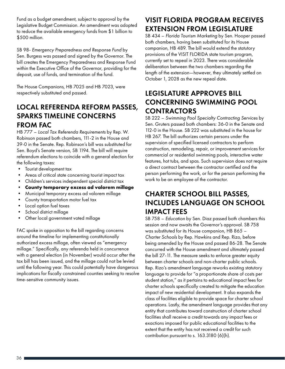Fund as a budget amendment, subject to approval by the Legislative Budget Commission. An amendment was adopted to reduce the available emergency funds from \$1 billion to \$500 million.

SB 98- *Emergency Preparedness and Response Fund* by Sen. Burgess was passed and signed by the Governor. The bill creates the Emergency Preparedness and Response Fund within the Executive Office of the Governor, providing for the deposit, use of funds, and termination of the fund.

The House Companions, HB 7025 and HB 7023, were respectively substituted and passed.

#### LOCAL REFERENDA REFORM PASSES, SPARKS TIMELINE CONCERNS FROM FAC

HB 777 – *Local Tax Referenda Requirements* by Rep. W. Robinson passed both chambers, 111-2 in the House and 39-0 in the Senate. Rep. Robinson's bill was substituted for Sen. Boyd's Senate version, SB 1194. The bill will require referendum elections to coincide with a general election for the following taxes:

- Tourist development tax
- Areas of critical state concerning tourist impact tax
- Children's services independent special district tax
- **• County temporary excess ad valorem millage**
- Municipal temporary excess ad valorem millage
- County transportation motor fuel tax
- Local option fuel taxes
- School district millage
- Other local government voted millage

FAC spoke in opposition to the bill regarding concerns around the timeline for implementing constitutionally authorized excess millage, often viewed as "emergency millage." Specifically, any referenda held in concurrence with a general election (in November) would occur after the tax bill has been issued, and the millage could not be levied until the following year. This could potentially have dangerous implications for fiscally constrained counties seeking to resolve time-sensitive community issues.

## VISIT FLORIDA PROGRAM RECEIVES EXTENSION FROM LEGISLATURE

SB 434 – *Florida Tourism Marketing* by Sen. Hooper passed both chambers, having been substituted for its House companion, HB 489. The bill would extend the statutory provisions of the VISIT FLORIDA state tourism program, currently set to repeal in 2023. There was considerable deliberation between the two chambers regarding the length of the extension—however, they ultimately settled on October 1, 2028 as the new repeal date.

#### LEGISLATURE APPROVES BILL CONCERNING SWIMMING POOL CONTRACTORS

SB 222 – *Swimming Pool Specialty Contracting Services* by Sen. Gruters passed both chambers: 36-0 in the Senate and 112-0 in the House. SB 222 was substituted in the house for HB 267. The bill authorizes certain persons under the supervision of specified licensed contractors to perform construction, remodeling, repair, or improvement services for commercial or residential swimming pools, interactive water features, hot tubs, and spas. Such supervision does not require a direct contract between the contractor certified and the person performing the work, or for the person performing the work to be an employee of the contractor.

#### CHARTER SCHOOL BILL PASSES, INCLUDES LANGUAGE ON SCHOOL IMPACT FEES

SB 758 – *Education* by Sen. Diaz passed both chambers this session and now awaits the Governor's approval. SB 758 was substituted for its House companion, HB 865 – *Charter Schools* by Rep. Hawkins and Rep. Rizo, before being amended by the House and passed 86-28. The Senate concurred with the House amendment and ultimately passed the bill 27-11. The measure seeks to enforce greater equity between charter schools and non-charter public schools. Rep. Rizo's amendment language reworks existing statutory language to provide for "a proportionate share of costs per student station," as it pertains to educational impact fees for charter schools specifically created to mitigate the education impact of new residential development. It also expands the class of facilities eligible to provide space for charter school operations. Lastly, the amendment language provides that any entity that contributes toward construction of charter school facilities shall receive a credit towards any impact fees or exactions imposed for public educational facilities to the extent that the entity has not received a credit for such contribution pursuant to s. 163.3180 (6)(h).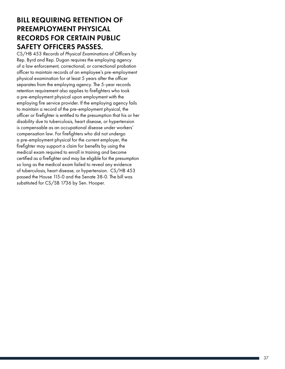#### BILL REQUIRING RETENTION OF PREEMPLOYMENT PHYSICAL RECORDS FOR CERTAIN PUBLIC SAFETY OFFICERS PASSES.

CS/HB 453 *Records of Physical Examinations of Officers* by Rep. Byrd and Rep. Dugan requires the employing agency of a law enforcement, correctional, or correctional probation officer to maintain records of an employee's pre-employment physical examination for at least 5 years after the officer separates from the employing agency. The 5-year records retention requirement also applies to firefighters who took a pre-employment physical upon employment with the employing fire service provider. If the employing agency fails to maintain a record of the pre-employment physical, the officer or firefighter is entitled to the presumption that his or her disability due to tuberculosis, heart disease, or hypertension is compensable as an occupational disease under workers' compensation law. For firefighters who did not undergo a pre-employment physical for the current employer, the firefighter may support a claim for benefits by using the medical exam required to enroll in training and become certified as a firefighter and may be eligible for the presumption so long as the medical exam failed to reveal any evidence of tuberculosis, heart disease, or hypertension. CS/HB 453 passed the House 115-0 and the Senate 38-0. The bill was substituted for CS/SB 1736 by Sen. Hooper.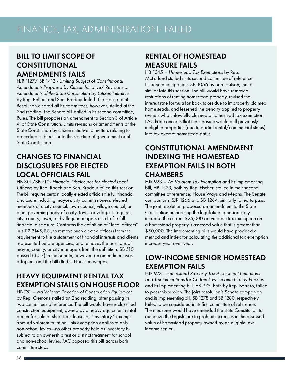### BILL TO LIMIT SCOPE OF CONSTITUTIONAL AMENDMENTS FAILS

HJR 1127/ SB 1412 - *Limiting Subject of Constitutional Amendments Proposed by Citizen Initiative/ Revisions or Amendments of the State Constitution by Citizen Initiative* by Rep. Beltran and Sen. Brodeur failed. The House Joint Resolution cleared all its committees, however, stalled at the 2nd reading. The Senate bill stalled in its second committee, Rules. The bill proposes an amendment to Section 3 of Article XI of State Constitution. Limits revisions or amendments of the State Constitution by citizen initiative to matters relating to procedural subjects or to the structure of government or of State Constitution.

#### CHANGES TO FINANCIAL DISCLOSURES FOR ELECTED LOCAL OFFICIALS FAIL

HB 301/SB 510- *Financial Disclosures for Elected Local Officers* by Rep. Roach and Sen. Brodeur failed this session. The bill requires certain locally elected officials file full financial disclosure including mayors, city commissioners, elected members of a city council, town council, village council, or other governing body of a city, town, or village. It requires city, county, town, and village managers also to file full financial disclosure. Conforms the definition of "local officers" in s.112.3145, F.S., to remove such elected officers from the requirement to file a statement of financial interests and clients represented before agencies; and removes the positions of mayor, county, or city managers from the definition. SB 510 passed (30-7) in the Senate, however, an amendment was adopted, and the bill died in House messages.

### HEAVY EQUIPMENT RENTAL TAX EXEMPTION STALLS ON HOUSE FLOOR

HB 751 – *Ad Valorem Taxation of Construction Equipment*  by Rep. Clemons stalled on 2nd reading, after passing its two committees of reference. The bill would have reclassified construction equipment, owned by a heavy equipment rental dealer for sale or short-term lease, as "inventory," exempt from ad valorem taxation. This exemption applies to only non-school levies—no other property held as inventory is subject to an ownership test or distinct treatment for school and non-school levies. FAC opposed this bill across both committee stops.

#### RENTAL OF HOMESTEAD MEASURE FAILS

HB 1345 – *Homestead Tax Exemptions* by Rep. McFarland stalled in its second committee of reference. Its Senate companion, SB 1056 by Sen. Hutson, met a similar fate this session. The bill would have removed restrictions of renting homestead property, revised the interest rate formula for back taxes due to improperly claimed homesteads, and lessened the penalty applied to property owners who unlawfully claimed a homestead tax exemption. FAC had concerns that the measure would pull previously ineligible properties (due to partial rental/commercial status) into tax exempt homestead status.

#### CONSTITUTIONAL AMENDMENT INDEXING THE HOMESTEAD EXEMPTION FAILS IN BOTH **CHAMBERS**

HJR 923 – *Ad Valorem Tax Exemption* and its implementing bill, HB 1523, both by Rep. Fischer, stalled in their second committee of reference, House Ways and Means. The Senate companions, SJR 1266 and SB 1264, similarly failed to pass. The joint resolution proposed an amendment to the State Constitution authorizing the legislature to periodically increase the current \$25,000 ad valorem tax exemption on a homestead property's assessed value that is greater than \$50,000. The implementing bills would have provided a method and index for calculating the additional tax exemption increase year over year.

### LOW-INCOME SENIOR HOMESTEAD EXEMPTION FAILS

HJR 973 - *Homestead Property Tax Assessment Limitations and Tax Exemptions for Certain Low-income Elderly Persons*  and its implementing bill, HB 975, both by Rep. Borrero, failed to pass this session. The joint resolution's Senate companion and its implementing bill, SB 1278 and SB 1280, respectively, failed to be considered in its first committee of reference. The measures would have amended the state Constitution to authorize the Legislature to prohibit increases in the assessed value of homestead property owned by an eligible lowincome senior.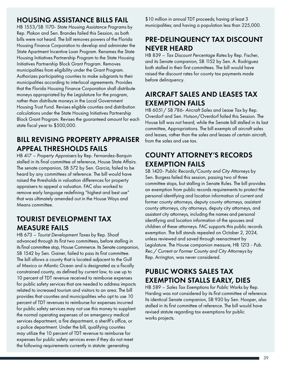#### HOUSING ASSISTANCE BILLS FAIL

HB 1553/SB 1170- *State Housing Assistance Programs* by Rep. Plakon and Sen. Brandes failed this Session, as both bills were not heard. The bill removes powers of the Florida Housing Finance Corporation to develop and administer the State Apartment Incentive Loan Program. Renames the State Housing Initiatives Partnership Program to the State Housing Initiatives Partnership Block Grant Program. Removes municipalities from eligibility under the Grant Program. Authorizes participating counties to make subgrants to their municipalities according to interlocal agreements. Provides that the Florida Housing Finance Corporation shall distribute moneys appropriated by the Legislature for the program, rather than distribute moneys in the Local Government Housing Trust Fund. Revises eligible counties and distribution calculations under the State Housing Initiatives Partnership Block Grant Program. Revises the guaranteed amount for each state fiscal year to \$500,000.

#### BILL REVISING PROPERTY APPRAISER APPEAL THRESHOLDS FAILS

HB 417 – *Property Appraisers* by Rep. Fernandez-Barquin stalled in its final committee of reference, House State Affairs. The senate companion, SB 572 by Sen. Garcia, failed to be heard by any committees of reference. The bill would have raised the thresholds in valuation differences for property appraisers to appeal a valuation. FAC also worked to remove early language redefining "highest and best use" that was ultimately amended out in the House Ways and Means committee.

#### TOURIST DEVELOPMENT TAX MEASURE FAILS

HB 673 – *Tourist Development Taxes* by Rep. Shoaf advanced through its first two committees, before stalling in its final committee stop, House Commerce. Its Senate companion, SB 1542 by Sen. Gainer, failed to pass its first committee. The bill allows a county that is located adjacent to the Gulf of Mexico or Atlantic Ocean and is designated as a fiscally constrained county, as defined by current law, to use up to 10 percent of TDT revenue received to reimburse expenses for public safety services that are needed to address impacts related to increased tourism and visitors to an area. The bill provides that counties and municipalities who opt to use 10 percent of TDT revenues to reimburse for expenses incurred for public safety services may not use this money to supplant the normal operating expenses of an emergency medical services department, a fire department, a sheriff's office, or a police department. Under the bill, qualifying counties may utilize the 10 percent of TDT revenue to reimburse for expenses for public safety services even if they do not meet the following requirements currently in statute: generating

\$10 million in annual TDT proceeds; having at least 3 municipalities; and having a population less than 225,000.

## PRE-DELINQUENCY TAX DISCOUNT NEVER HEARD

HB 839 – *Tax Discount Percentage Rates* by Rep. Fischer, and its Senate companion, SB 1152 by Sen. A. Rodriguez both stalled in their first committees. The bill would have raised the discount rates for county tax payments made before delinquency.

#### AIRCRAFT SALES AND LEASES TAX EXEMPTION FAILS

HB 6051/ SB 786- *Aircraft Sales and Lease Tax* by Rep. Overdorf and Sen. Hutson/Overdorf failed this Session. The House bill was not heard, while the Senate bill stalled in its last committee, Appropriations. The bill exempts all aircraft sales and leases, rather than the sales and leases of certain aircraft, from the sales and use tax.

#### COUNTY ATTORNEY'S RECORDS EXEMPTION FAILS

SB 1420- *Public Records/County and City Attorneys* by Sen. Burgess failed this session, passing two of three committee stops, but stalling in Senate Rules. The bill provides an exemption from public records requirements to protect the personal identifying and location information of current and former county attorneys, deputy county attorneys, assistant county attorneys, city attorneys, deputy city attorneys, and assistant city attorneys, including the names and personal identifying and location information of the spouses and children of these attorneys. FAC supports this public records exemption. The bill stands repealed on October 2, 2024, unless reviewed and saved through reenactment by Legislature. The House companion measure, HB 1213 - *Pub. Rec./ Current or Former County and City Attorneys* by Rep. Arrington, was never considered.

### PUBLIC WORKS SALES TAX EXEMPTION STALLS EARLY, DIES

HB 589 – *Sales Tax Exemptions for Public Works* by Rep. Harding was not considered by its first committee of reference. Its identical Senate companion, SB 930 by Sen. Hooper, also stalled in its first committee of reference. The bill would have revised statute regarding tax exemptions for public works projects.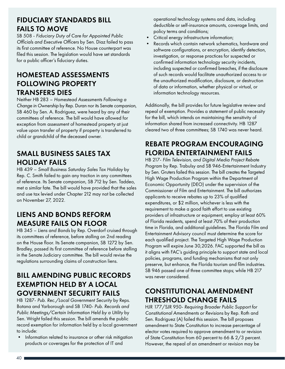#### FIDUCIARY STANDARDS BILL FAILS TO MOVE

SB 508 - *Fiduciary Duty of Care for Appointed Public Officials and Executive Officers* by Sen. Diaz failed to pass its first committee of reference. No House counterpart was filed this session. The legislation would have set standards for a public officer's fiduciary duties.

#### HOMESTEAD ASSESSMENTS FOLLOWING PROPERTY TRANSFERS DIES

Neither HB 283 – *Homestead Assessments Following a Change in Ownership* by Rep. Duran nor its Senate companion, SB 460 by Sen. A. Rodriguez, were heard by any of their committees of reference. The bill would have allowed for exception from assessment of homestead property at just value upon transfer of property if property is transferred to child or grandchild of the deceased owner.

#### SMALL BUSINESS SALES TAX HOLIDAY FAILS

HB 439 – *Small Business Saturday Sales Tax Holiday* by Rep. C. Smith failed to gain any traction in any committees of reference. Its Senate companion, SB 712 by Sen. Taddeo, met a similar fate. The bill would have provided that the sales and use tax levied under Chapter 212 may not be collected on November 27, 2022.

#### LIENS AND BONDS REFORM MEASURE FAILS ON FLOOR

HB 345 – *Liens and Bonds* by Rep. Overdorf cruised through its committees of reference, before stalling on 2nd reading on the House floor. Its Senate companion, SB 1272 by Sen. Bradley, passed its first committee of reference before stalling in the Senate Judiciary committee. The bill would revise the regulations surrounding claims of construction liens.

#### BILL AMENDING PUBLIC RECORDS EXEMPTION HELD BY A LOCAL GOVERNMENT SECURITY FAILS

HB 1287- *Pub. Rec./Local Government Security* by Reps. Botana and Yarborough and SB 1740- *Pub. Records and Public Meetings/Certain Information Held by a Utility* by Sen. Wright failed this session. The bill amends the public record exemption for information held by a local government to include:

• Information related to insurance or other risk mitigation products or coverages for the protection of IT and

operational technology systems and data, including deductible or self-insurance amounts, coverage limits, and policy terms and conditions;

- Critical energy infrastructure information;
- Records which contain network schematics, hardware and software configurations, or encryption, identify detection, investigation, or response practices for suspected or confirmed information technology security incidents, including suspected or confirmed breaches, if the disclosure of such records would facilitate unauthorized access to or the unauthorized modification, disclosure, or destruction of data or information, whether physical or virtual, or information technology resources.

Additionally, the bill provides for future legislative review and repeal of exemption. Provides a statement of public necessity for the bill, which intends on maintaining the sensitivity of information shared from increased connectivity. HB 1287 cleared two of three committees; SB 1740 was never heard.

## REBATE PROGRAM ENCOURAGING FLORIDA ENTERTAINMENT FAILS

HB 217- *Film Television, and Digital Media Project Rebate Program* by Rep. Trabulsy and SB 946-Entertainment Industry by Sen. Gruters failed this session. The bill creates the Targeted High Wage Production Program within the Department of Economic Opportunity (DEO) under the supervision of the Commissioner of Film and Entertainment. The bill authorizes applicants to receive rebates up to 23% of qualified expenditures, or \$2 million, whichever is less with the requirement to make a good faith effort to use existing providers of infrastructure or equipment, employ at least 60% of Florida residents, spend at least 70% of their production time in Florida, and additional guidelines. The Florida Film and Entertainment Advisory council must determine the score for each qualified project. The Targeted High Wage Production Program will expire June 30,2026. FAC supported the bill as it aligns with FAC's guiding principle to support state and local policies, programs, and funding mechanisms that not only preserve, but enhance, the Florida tourism and film industries. SB 946 passed one of three committee stops; while HB 217 was never considered.

### CONSTITUTIONAL AMENDMENT THRESHOLD CHANGE FAILS

HJR 177/SJR 950- *Requiring Broader Public Support for Constitutional Amendments or Revisions* by Rep. Roth and Sen. Rodriguez (A) failed this session. The bill proposes amendment to State Constitution to increase percentage of elector votes required to approve amendment to or revision of State Constitution from 60 percent to 66 & 2/3 percent. However, the repeal of an amendment or revision may be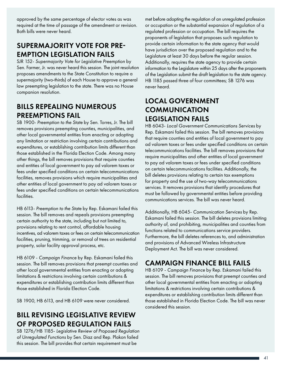approved by the same percentage of elector votes as was required at the time of passage of the amendment or revision. Both bills were never heard.

#### SUPERMAJORITY VOTE FOR PRE-EMPTION LEGISLATION FAILS

SJR 152- *Supermajority Vote for Legislative Preemption* by Sen. Farmer, Jr. was never heard this session. The joint resolution proposes amendments to the State Constitution to require a supermajority (two-thirds) of each House to approve a general law preempting legislation to the state. There was no House companion resolution.

#### BILLS REPEALING NUMEROUS PREEMPTIONS FAIL

SB 1900- *Preemption to the State* by Sen. Torres, Jr. The bill removes provisions preempting counties, municipalities, and other local governmental entities from enacting or adopting any limitation or restriction involving certain contributions and expenditures, or establishing contribution limits different than those established in the Florida Election Code. Among many other things, the bill removes provisions that require counties and entities of local government to pay ad valorem taxes or fees under specified conditions on certain telecommunications facilities, removes provisions which require municipalities and other entities of local government to pay ad valorem taxes or fees under specified conditions on certain telecommunications facilities.

HB 6113- *Preemption to the State* by Rep. Eskamani failed this session. The bill removes and repeals provisions preempting certain authority to the state, including but not limited to, provisions relating to rent control, affordable housing incentives, ad valorem taxes or fees on certain telecommunication facilities, pruning, trimming, or removal of trees on residential property, solar facility approval process, etc.

HB 6109 - *Campaign Finance* by Rep. Eskamani failed this session. The bill removes provisions that preempt counties and other local governmental entities from enacting or adopting limitations & restrictions involving certain contributions & expenditures or establishing contribution limits different than those established in Florida Election Code.

SB 1900, HB 6113, and HB 6109 were never considered.

#### BILL REVISING LEGISLATIVE REVIEW OF PROPOSED REGULATION FAILS

SB 1276/HB 1185- *Legislative Review of Proposed Regulation of Unregulated Functions* by Sen. Diaz and Rep. Plakon failed this session. The bill provides that certain requirement must be

met before adopting the regulation of an unregulated profession or occupation or the substantial expansion of regulation of a regulated profession or occupation. The bill requires the proponents of legislation that proposes such regulation to provide certain information to the state agency that would have jurisdiction over the proposed regulation and to the Legislature at least 30 days before the regular session. Additionally, requires the state agency to provide certain information to the Legislature within 25 days after the proponents of the Legislation submit the draft legislation to the state agency. HB 1185 passed three of four committees; SB 1276 was never heard.

### LOCAL GOVERNMENT **COMMUNICATION** LEGISLATION FAILS

HB 6043- *Local Government Communications Services* by Rep. Eskamani failed this session. The bill removes provisions that require counties and entities of local government to pay ad valorem taxes or fees under specified conditions on certain telecommunications facilities. The bill removes provisions that require municipalities and other entities of local government to pay ad valorem taxes or fees under specified conditions on certain telecommunications facilities. Additionally, the bill deletes provisions relating to certain tax exemptions for property and the use of two-way telecommunications services. It removes provisions that identify procedures that must be followed by governmental entities before providing communications services. The bill was never heard.

Additionally, HB 6045- *Communication Services* by Rep. Eskamani failed this session. The bill deletes provisions limiting authority of, and prohibiting, municipalities and counties from functions related to communications service providers. Furthermore, the bill deletes references to, and administration and provisions of Advanced Wireless Infrastructure Deployment Act. The bill was never considered.

#### CAMPAIGN FINANCE BILL FAILS

HB 6109 - *Campaign Finance* by Rep. Eskamani failed this session. The bill removes provisions that preempt counties and other local governmental entities from enacting or adopting limitations & restrictions involving certain contributions & expenditures or establishing contribution limits different than those established in Florida Election Code. The bill was never considered this session.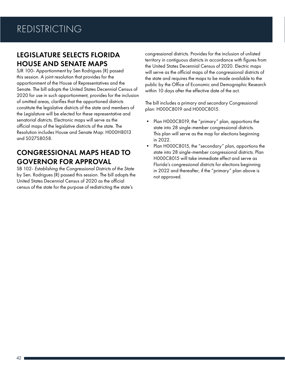#### LEGISLATURE SELECTS FLORIDA HOUSE AND SENATE MAPS

SJR 100- *Apportionment* by Sen Rodrigues (R) passed this session. A joint resolution that provides for the apportionment of the House of Representatives and the Senate. The bill adopts the United States Decennial Census of 2020 for use in such apportionment, provides for the inclusion of omitted areas, clarifies that the apportioned districts constitute the legislative districts of the state and members of the Legislature will be elected for these representative and senatorial districts. Electronic maps will serve as the official maps of the legislative districts of the state. The Resolution includes House and Senate Map: H000H8013 and S027S8058.

### CONGRESSIONAL MAPS HEAD TO GOVERNOR FOR APPROVAL

SB 102- *Establishing the Congressional Districts of the State* by Sen. Rodrigues (R) passed this session. The bill adopts the United States Decennial Census of 2020 as the official census of the state for the purpose of redistricting the state's

congressional districts. Provides for the inclusion of unlisted territory in contiguous districts in accordance with figures from the United States Decennial Census of 2020. Electric maps will serve as the official maps of the congressional districts of the state and requires the maps to be made available to the public by the Office of Economic and Demographic Research within 10 days after the effective date of the act.

The bill includes a primary and secondary Congressional plan: H000C8019 and H000C8015.

- Plan H000C8019, the "primary" plan, apportions the state into 28 single-member congressional districts. This plan will serve as the map for elections beginning in 2022.
- Plan H000C8015, the "secondary" plan, apportions the state into 28 single-member congressional districts. Plan H000C8015 will take immediate effect and serve as Florida's congressional districts for elections beginning in 2022 and thereafter, if the "primary" plan above is not approved.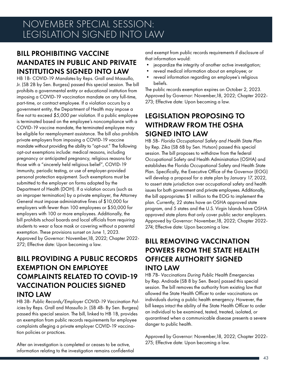## NOVEMBER SPECIAL SESSION: LEGISLATION SIGNED INTO LAW

## BILL PROHIBITING VACCINE MANDATES IN PUBLIC AND PRIVATE INSTITUTIONS SIGNED INTO LAW

HB 1B- COVID-19 *Mandates* by Reps. Grall and Massullo, Jr. (SB 2B by Sen. Burgess) passed this special session. The bill prohibits a governmental entity or educational institution from imposing a COVID-19 vaccination mandate on any full-time, part-time, or contract employee. If a violation occurs by a government entity, the Department of Health may impose a fine not to exceed *\$5,000 per violation*. If a public employee is terminated based on the employee's noncompliance with a COVID-19 vaccine mandate, the terminated employee may be eligible for reemployment assistance. The bill also prohibits private employers from imposing a COVID-19 vaccine mandate without providing the ability to "opt-out." The following opt-out exemptions include: medical reasons, including pregnancy or anticipated pregnancy, religious reasons for those with a "sincerely held religious belief", COVID-19 immunity, periodic testing, or use of employer-provided personal protection equipment. Such exemptions must be submitted to the employer on forms adopted by the Department of Health (DOH). If a violation occurs (such as an improper termination) by a private employer, the Attorney General must impose administrative fines of \$10,000 for employers with fewer than 100 employees or \$50,000 for employers with 100 or more employees. Additionally, the bill prohibits school boards and local officials from requiring students to wear a face mask or covering without a parental exemption. These provisions sunset on June 1, 2023. Approved by Governor: November,18, 2022; Chapter 2022- 272; Effective date: Upon becoming a law.

#### BILL PROVIDING A PUBLIC RECORDS EXEMPTION ON EMPLOYEE COMPLAINTS RELATED TO COVID-19 VACCINATION POLICIES SIGNED INTO LAW

HB 3B- *Public Records/Employer COVID-19 Vaccination Policies* by Reps. Grall and Massullo Jr. (SB 4B- By Sen. Burgess) passed this special session. The bill, linked to HB 1B, provides an exemption from public records requirements for employee complaints alleging a private employer COVID-19 vaccination policies or practices.

After an investigation is completed or ceases to be active, information relating to the investigation remains confidential and exempt from public records requirements if disclosure of that information would:

- jeopardize the integrity of another active investigation;
- reveal medical information about an employee; or
- reveal information regarding an employee's religious beliefs.

The public records exemption expires on October 2, 2023. Approved by Governor: November,18, 2022; Chapter 2022- 273; Effective date: Upon becoming a law.

#### LEGISLATION PROPOSING TO WITHDRAW FROM THE OSHA SIGNED INTO LAW

HB 5B- *Florida Occupational Safety and Health State Plan* by Rep. Zika (SB 6B by Sen. Hutson) passed this special session. The bill proposes to withdraw from the federal Occupational Safety and Health Administration (OSHA) and establishes the Florida Occupational Safety and Health State Plan. Specifically, the Executive Office of the Governor (EOG) will develop a proposal for a state plan by January 17, 2022, to assert state jurisdiction over occupational safety and health issues for both government and private employees. Additionally, the bill appropriates \$1 million to the EOG to implement the plan. Currently, 22 states have an OSHA approved state program, and 5 states and the U.S. Virgin Islands have OSHA approved state plans that only cover public sector employers. Approved by Governor: November,18, 2022; Chapter 2022- 274; Effective date: Upon becoming a law.

#### BILL REMOVING VACCINATION POWERS FROM THE STATE HEALTH OFFICER AUTHORITY SIGNED INTO LAW

HB 7B- *Vaccinations During Public Health Emergencies*  by Rep. Andrade (SB 8 by Sen. Bean) passed this special session. The bill removes the authority from existing law that allowed the State Health Officer to order vaccinations on individuals during a public health emergency. However, the bill keeps intact the ability of the State Health Officer to order an individual to be examined, tested, treated, isolated, or quarantined when a communicable disease presents a severe danger to public health.

Approved by Governor: November,18, 2022; Chapter 2022- 275; Effective date: Upon becoming a law.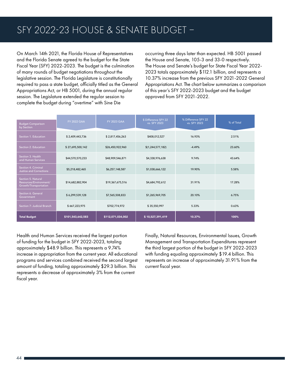On March 14th 2021, the Florida House of Representatives and the Florida Senate agreed to the budget for the State Fiscal Year (SFY) 2022-2023. The budget is the culmination of many rounds of budget negotiations throughout the legislative session. The Florida Legislature is constitutionally required to pass a state budget, officially titled as the General Appropriations Act, or HB 5001, during the annual regular session. The Legislature extended the regular session to complete the budget during "overtime" with Sine Die

occurring three days later than expected. HB 5001 passed the House and Senate, 105-3 and 33-0 respectively. The House and Senate's budget for State Fiscal Year 2022- 2023 totals approximately \$112.1 billion, and represents a 10.37% increase from the previous SFY 2021-2022 General Appropriations Act. The chart below summarizes a comparison of this year's SFY 2022-2023 budget and the budget approved from SFY 2021-2022.

| <b>Budget Comparison</b><br>by Section                                | <b>FY 2022 GAA</b> | <b>FY 2023 GAA</b> | \$ Difference SFY 22<br>vs. SFY 2023 | % Difference SFY 22<br>vs. SFY 2023 | % of Total |
|-----------------------------------------------------------------------|--------------------|--------------------|--------------------------------------|-------------------------------------|------------|
| Section 1. Education                                                  | \$2,409,443,736    | \$2,817,456,263    | \$408,012,527                        | 16.93%                              | 2.51%      |
| Section 2. Education                                                  | \$27,695,500,142   | \$26,450,922,960   | \$(1,244,577,182)                    | $-4.49%$                            | 23.60%     |
| Section 3. Health<br>and Human Services                               | \$44,570,570,233   | \$48,909,546,871   | \$4,338,976,638                      | 9.74%                               | 43.64%     |
| Section 4. Criminal<br><b>Justice and Corrections</b>                 | \$5,218,482,465    | \$6,257,148,587    | \$1,038,666,122                      | 19.90%                              | 5.58%      |
| Section 5. Natural<br>Resources/Environment/<br>Growth/Transportation | \$14,682,882,904   | \$19,367,675,516   | \$4,684,792,612                      | 31.91%                              | 17.28%     |
| Section 6. General<br>Government                                      | \$6,299,539,128    | \$7,565,508,833    | \$1,265,969,705                      | 20.10%                              | 6.75%      |
| Section 7: Judicial Branch                                            | \$667,223,975      | \$702,774,972      | \$35,550,997                         | 5.33%                               | 0.63%      |
| <b>Total Budget</b>                                                   | \$101,543,642,583  | \$112,071,034,002  | \$10,527,391,419                     | 10.37%                              | 100%       |

Health and Human Services received the largest portion of funding for the budget in SFY 2022-2023, totaling approximately \$48.9 billion. This represents a 9.74% increase in appropriation from the current year. All educational programs and services combined received the second largest amount of funding, totaling approximately \$29.3 billion. This represents a decrease of approximately 3% from the current fiscal year.

Finally, Natural Resources, Environmental Issues, Growth Management and Transportation Expenditures represent the third largest portion of the budget in SFY 2022-2023 with funding equaling approximately \$19.4 billion. This represents an increase of approximately 31.91% from the current fiscal year.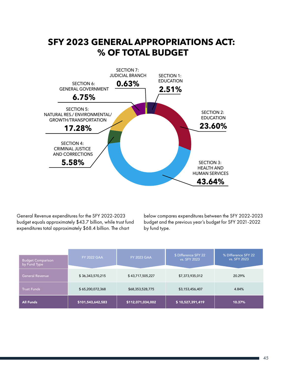

General Revenue expenditures for the SFY 2022-2023 budget equals approximately \$43.7 billion, while trust fund expenditures total approximately \$68.4 billion. The chart

below compares expenditures between the SFY 2022-2023 budget and the previous year's budget for SFY 2021-2022 by fund type.

| <b>Budget Comparison</b><br>by Fund Type | <b>FY 2022 GAA</b> | <b>FY 2023 GAA</b> | \$ Difference SFY 22<br>vs. SFY 2023 | % Difference SFY 22<br>vs. SFY 2023 |
|------------------------------------------|--------------------|--------------------|--------------------------------------|-------------------------------------|
| <b>General Revenue</b>                   | \$36,343,570,215   | \$43,717,505,227   | \$7,373,935,012                      | 20.29%                              |
| <b>Trust Funds</b>                       | \$65,200,072,368   | \$68,353,528,775   | \$3,153,456,407                      | 4.84%                               |
| <b>All Funds</b>                         | \$101,543,642,583  | \$112,071,034,002  | \$10,527,391,419                     | 10.37%                              |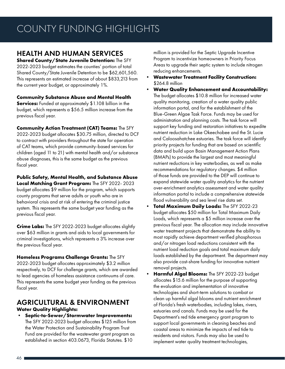## COUNTY FUNDING HIGHLIGHTS

#### HEALTH AND HUMAN SERVICES

**Shared County/State Juvenile Detention:** The SFY 2022-2023 budget estimates the counties' portion of total Shared County/State Juvenile Detention to be \$62,601,560. This represents an estimated increase of about \$833,213 from the current year budget, or approximately 1%.

**Community Substance Abuse and Mental Health Services:** Funded at approximately \$1.108 billion in the budget, which represents a \$56.5 million increase from the previous fiscal year.

**Community Action Treatment (CAT) Teams:** The SFY 2022-2023 budget allocates \$30.75 million, directed to DCF to contract with providers throughout the state for operation of CAT teams, which provide community-based services for children (aged 11 to 21) with mental health and/or substance abuse diagnoses, this is the same budget as the previous fiscal year.

**Public Safety, Mental Health, and Substance Abuse** 

**Local Matching Grant Program:** The SFY 2022- 2023 budget allocates \$9 million for the program, which supports county programs that serve adults or youth who are in behavioral crisis and at risk of entering the criminal justice system. This represents the same budget year funding as the previous fiscal year.

**Crime Labs:** The SFY 2022-2023 budget allocates slightly over \$63 million in grants and aids to local governments for criminal investigations, which represents a 3% increase over the previous fiscal year.

**Homeless Programs Challenge Grants:** The SFY

2022-2023 budget allocates approximately \$3.2 million respectively, to DCF for challenge grants, which are awarded to lead agencies of homeless assistance continuums of care. This represents the same budget year funding as the previous fiscal year.

#### AGRICULTURAL & ENVIRONMENT **Water Quality Highlights:**

**• Septic-to-Sewer/Stormwater Improvements:** The SFY 2022-2023 budget allocates \$125 million from the Water Protection and Sustainability Program Trust Fund are provided for the wastewater grant program as established in section 403.0673, Florida Statutes. \$10

million is provided for the Septic Upgrade Incentive Program to incentivize homeowners in Priority Focus Areas to upgrade their septic system to include nitrogen reducing enhancements.

- **• Wastewater Treatment Facility Construction:**  \$264.8 million
- **• Water Quality Enhancement and Accountability:**  The budget allocates \$10.8 million for increased water quality monitoring, creation of a water quality public information portal, and for the establishment of the Blue-Green Algae Task Force. Funds may be used for administration and planning costs. The task force will support key funding and restoration initiatives to expedite nutrient reduction in Lake Okeechobee and the St. Lucie and Caloosahatchee estuaries. The task force will identify priority projects for funding that are based on scientific data and build upon Basin Management Action Plans (BMAPs) to provide the largest and most meaningful nutrient reductions in key waterbodies, as well as make recommendations for regulatory changes. \$4 million of those funds are provided to the DEP will continue to expand statewide water quality analytics for the nutrient over-enrichment analytics assessment and water quality information portal to include a comprehensive statewide flood vulnerability and sea level rise data set.
- **• Total Maximum Daily Loads:** The SFY 2022-23 budget allocates \$50 million for Total Maximum Daily Loads, which represents a \$5 million increase over the previous fiscal year. The allocation may include innovative water treatment projects that demonstrate the ability to most rapidly achieve department verified phosphorous and/or nitrogen load reductions consistent with the nutrient load reduction goals and total maximum daily loads established by the department. The department may also provide cost-share funding for innovative nutrient removal projects.
- **• Harmful Algal Blooms:** The SFY 2022-23 budget allocates \$15.6 million for the purpose of supporting the evaluation and implementation of innovative technologies and short-term solutions to combat or clean up harmful algal blooms and nutrient enrichment of Florida's fresh waterbodies, including lakes, rivers, estuaries and canals. Funds may be used for the Department's red tide emergency grant program to support local governments in cleaning beaches and coastal areas to minimize the impacts of red tide to residents and visitors. Funds may also be used to implement water quality treatment technologies,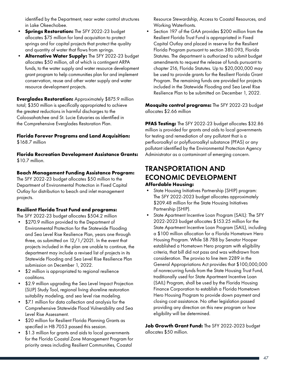identified by the Department, near water control structures in Lake Okeechobee.

- **Springs Restoration:** The SFY 2022-23 budget allocates \$75 million for land acquisition to protect springs and for capital projects that protect the quality and quantity of water that flows from springs.
- **• Alternative Water Supply:** The SFY 2022-23 budget allocates \$50 million, all of which is contingent ARPA funds, to the water supply and water resource development grant program to help communities plan for and implement conservation, reuse and other water supply and water resource development projects.

**Everglades Restoration:** Approximately \$875.9 million total; \$350 million is specifically appropriated to achieve the greatest reductions in harmful discharges to the Caloosahatchee and St. Lucie Estuaries as identified in the Comprehensive Everglades Restoration Plan.

## **Florida Forever Programs and Land Acquisition:**

\$168.7 million

**Florida Recreation Development Assistance Grants:** \$10.7 million.

#### **Beach Management Funding Assistance Program:**

The SFY 2022-23 budget allocates \$50 million to the Department of Environmental Protection in Fixed Capital Outlay for distribution to beach and inlet management projects.

#### **Resilient Florida Trust Fund and programs:**

The SFY 2022-23 budget allocates \$504.2 million

- \$270.9 million provided to the Department of Environmental Protection for the Statewide Flooding and Sea Level Rise Resilience Plan, years one through three, as submitted on 12/1/2021. In the event that projects included in the plan are unable to continue, the department may include a revised list of projects in its Statewide Flooding and Sea Level Rise Resilience Plan submission on December 1, 2022.
- \$2 million is appropriated to regional resilience coalitions.
- \$2.9 million upgrading the Sea Level Impact Projection (SLIP) Study Tool, regional living shoreline restoration suitability modeling, and sea level rise modeling.
- \$7.1 million for data collection and analysis for the Comprehensive Statewide Flood Vulnerability and Sea Level Rise Assessment.
- \$20 million for Resilient Florida Planning Grants as specified in HB 7053 passed this session.
- \$1.3 million for grants and aids to local governments for the Florida Coastal Zone Management Program for priority areas including Resilient Communities, Coastal

Resource Stewardship, Access to Coastal Resources, and Working Waterfronts.

Section 197 of the GAA provides \$200 million from the Resilient Florida Trust Fund is appropriated in Fixed Capital Outlay and placed in reserve for the Resilient Florida Program pursuant to section 380.093, Florida Statutes. The department is authorized to submit budget amendments to request the release of funds pursuant to chapter 216, Florida Statutes. Up to \$20,000,000 may be used to provide grants for the Resilient Florida Grant Program. The remaining funds are provided for projects included in the Statewide Flooding and Sea Level Rise Resilience Plan to be submitted on December 1, 2022.

**Mosquito control programs:** The SFY 2022-23 budget allocates \$2.66 million

**PFAS Testing:** The SFY 2022-23 budget allocates \$32.86 million is provided for grants and aids to local governments for testing and remediation of any pollutant that is a perfluoroalkyl or polyfluoroalkyl substance (PFAS) or any pollutant identified by the Environmental Protection Agency Administrator as a contaminant of emerging concern.

#### TRANSPORTATION AND ECONOMIC DEVELOPMENT **Affordable Housing:**

- State Housing Initiatives Partnership (SHIP) program: The SFY 2022-2023 budget allocates approximately \$209.48 million for the State Housing Initiatives Partnership (SHIP).
- State Apartment Incentive Loan Program (SAIL): The SFY 2022-2023 budget allocates \$153.25 million for the State Apartment Incentive Loan Program (SAIL), including a \$100 million allocation for a Florida Hometown Hero Housing Program. While SB 788 by Senator Hooper established a Hometown Hero program with eligibility criteria, that bill did not pass and was withdrawn from consideration. The proviso to line item 2289 in the General Appropriations Act provides that \$100,000,000 of nonrecurring funds from the State Housing Trust Fund, traditionally used for State Apartment Incentive Loan (SAIL) Program, shall be used by the Florida Housing Finance Corporation to establish a Florida Hometown Hero Housing Program to provide down payment and closing cost assistance. No other legislation passed providing any direction on this new program or how eligibility will be determined.

**Job Growth Grant Fund:** The SFY 2022-2023 budget allocates \$50 million.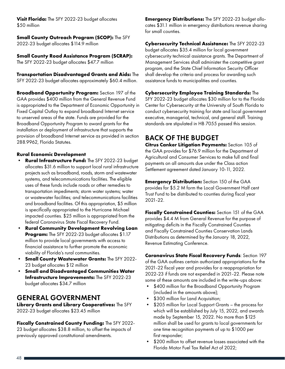**Visit Florida:** The SFY 2022-23 budget allocates \$50 million

#### **Small County Outreach Program (SCOP):** The SFY 2022-23 budget allocates \$114.9 million

**Small County Road Assistance Program (SCRAP):**  The SFY 2022-23 budget allocates \$47.7 million

**Transportation Disadvantaged Grants and Aids:** The SFY 2022-23 budget allocates approximately \$60.4 million.

**Broadband Opportunity Program:** Section 197 of the GAA provides \$400 million from the General Revenue Fund is appropriated to the Department of Economic Opportunity in Fixed Capital Outlay to expand broadband Internet service to unserved areas of the state. Funds are provided for the Broadband Opportunity Program to award grants for the installation or deployment of infrastructure that supports the provision of broadband Internet service as provided in section 288.9962, Florida Statutes.

#### **Rural Economic Development**

- **• Rural Infrastructure Fund:** The SFY 2022-23 budget allocates \$31.6 million to support local rural infrastructure projects such as broadband, roads, storm and wastewater systems, and telecommunications facilities. The eligible uses of these funds include roads or other remedies to transportation impediments; storm water systems; water or wastewater facilities; and telecommunications facilities and broadband facilities. Of this appropriation, \$5 million is specifically appropriated to the Hurricane Michael impacted counties. \$25 million is appropriated from the federal Coronavirus State Fiscal Recovery Fund.
- **• Rural Community Development Revolving Loan Program:** The SFY 2022-23 budget allocates \$1.17 million to provide local governments with access to financial assistance to further promote the economic viability of Florida's rural communities.
- **• Small County Wastewater Grants:** The SFY 2022- 23 budget allocates \$12 million
- **• Small and Disadvantaged Communities Water Infrastructure Improvements:** The SFY 2022-23 budget allocates \$34.7 million

#### GENERAL GOVERNMENT

**Library Grants and Library Cooperatives:** The SFY 2022-23 budget allocates \$23.45 million

**Fiscally Constrained County Funding:** The SFY 2022- 23 budget allocates \$38.8 million, to offset the impacts of previously approved constitutional amendments.

**Emergency Distributions:** The SFY 2022-23 budget allocates \$31.1 million in emergency distributions revenue sharing for small counties.

**Cybersecurity Technical Assistance:** The SFY 2022-23 budget allocates \$35.4 million for local government cybersecurity technical assistance grants. The Department of Management Services shall administer the competitive grant program, and the State Chief Information Security Officer shall develop the criteria and process for awarding such assistance funds to municipalities and counties.

#### **Cybersecurity Employee Training Standards:** The

SFY 2022-23 budget allocates \$30 million for to the Florida Center for Cybersecurity at the University of South Florida to conduct cybersecurity training for state and local government executive, managerial, technical, and general staff. Training standards are stipulated in HB 7055 passed this session.

#### BACK OF THE BUDGET

**Citrus Canker Litigation Payments:** Section 105 of the GAA provides for \$76.9 million for the Department of Agricultural and Consumer Services to make full and final payments on all amounts due under the Class action Settlement agreement dated January 10-11, 2022.

**Emergency Distribution:** Section 150 of the GAA provides for \$5.2 M form the Local Government Half cent Trust Fund to be distributed to counties during fiscal year 2021-22.

**Fiscally Constrained Counties:** Section 151 of the GAA provides \$4.4 M from General Revenue for the purpose of mitigating deficits in the Fiscally Constrained Counties and Fiscally Constrained Counties Conservation Lands Distributions as determined by the January 18, 2022, Revenue Estimating Conference.

**Coronavirus State Fiscal Recovery Funds**: Section 197 of the GAA outlines certain authorized appropriations for the 2021-22 fiscal year and provides for a reappropriation for 2022-23 if funds are not expended in 2021-22. Please note some of these amounts are included in the write-ups above:

- \$400 million for the Broadband Opportunity Program (included in the amounts above);
- \$300 million for Land Acquisition;
- \$205 million for Local Support Grants the process for which will be established by July 15, 2022, and awards made by September 15, 2022. No more than \$125 million shall be used for grants to local governments for one time recognition payments of up to \$1000 per first responder;
- \$200 million to offset revenue losses associated with the Florida Motor Fuel Tax Relief Act of 2022;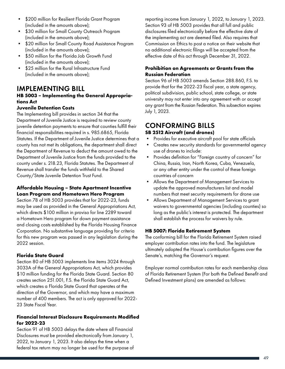- \$200 million for Resilient Florida Grant Program (included in the amounts above);
- \$30 million for Small County Outreach Program (included in the amounts above);
- \$20 million for Small County Road Assistance Program (included in the amounts above);
- \$50 million for the Florida Job Growth Fund (included in the amounts above);
- \$25 million for the Rural Infrastructure Fund (included in the amounts above);

#### IMPLEMENTING BILL

#### **HB 5003 – Implementing the General Appropriations Act**

#### **Juvenile Detention Costs**

The Implementing bill provides in section 34 that the Department of Juvenile Justice is required to review county juvenile detention payments to ensure that counties fulfill their financial responsibilities required in s. 985.6865, Florida Statutes. If the Department of Juvenile Justice determines that a county has not met its obligations, the department shall direct the Department of Revenue to deduct the amount owed to the Department of Juvenile Justice from the funds provided to the county under s. 218.23, Florida Statutes. The Department of Revenue shall transfer the funds withheld to the Shared County/State Juvenile Detention Trust Fund.

#### **Affordable Housing – State Apartment Incentive Loan Program and Hometown Hero Program**

Section 78 of HB 5003 provides that for 2022-23, funds may be used as provided in the General Appropriations Act, which directs \$100 million in proviso for line 2289 toward a Hometown Hero program for down payment assistance and closing costs established by the Florida Housing Finance Corporation. No substantive language providing for criteria for this new program was passed in any legislation during the 2022 session.

#### **Florida State Guard**

Section 80 of HB 5003 implements line items 3024 through 3033A of the General Appropriations Act, which provides \$10 million funding for the Florida State Guard. Section 80 creates section 251.001, F.S. the Florida State Guard Act, which creates a Florida State Guard that operates at the direction of the Governor, and which may have a maximum number of 400 members. The act is only approved for 2022- 23 State Fiscal Year.

#### **Financial Interest Disclosure Requirements Modified for 2022-23**

Section 91 of HB 5003 delays the date where all Financial Disclosures must be provided electronically from January 1, 2022, to January 1, 2023. It also delays the time when a federal tax return may no longer be used for the purpose of reporting income from January 1, 2022, to January 1, 2023. Section 93 of HB 5003 provides that all full and public disclosures filed electronically before the effective date of the implementing act are deemed filed. Also requires that Commission on Ethics to post a notice on their website that no additional electronic filings will be accepted from the effective date of this act through December 31, 2022.

#### **Prohibition on Agreements or Grants from the Russian Federation**

Section 96 of HB 5003 amends Section 288.860, F.S. to provide that for the 2022-23 fiscal year, a state agency, political subdivision, public school, state college, or state university may not enter into any agreement with or accept any grant from the Russian Federation. This subsection expires July 1, 2023.

#### CONFORMING BILLS **SB 2512 Aircraft (and drones)**

- Provides for executive aircraft pool for state officials
- Creates new security standards for governmental agency use of drones to include:
- Provides definition for "Foreign country of concern" for China, Russia, Iran, North Korea, Cuba, Venezuela, or any other entity under the control of these foreign countries of concern
- Allows the Department of Management Services to update the approved manufacturers list and model numbers that meet security requirements for drone use
- Allows Department of Management Services to grant waivers to governmental agencies (including counties) so long as the public's interest is protected. The department shall establish the process for waivers by rule.

#### **HB 5007: Florida Retirement System**

The conforming bill for the Florida Retirement System raised employer contribution rates into the fund. The legislature ultimately adopted the House's contribution figures over the Senate's, matching the Governor's request.

Employer normal contribution rates for each membership class of Florida Retirement System (For both the Defined Benefit and Defined Investment plans) are amended as follows: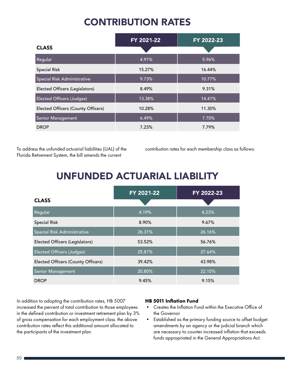## CONTRIBUTION RATES

|                                    | FY 2021-22 | FY 2022-23 |
|------------------------------------|------------|------------|
| <b>CLASS</b>                       |            |            |
| Regular                            | 4.91%      | 5.96%      |
| <b>Special Risk</b>                | 15.27%     | 16.44%     |
| Special Risk Administrative        | 9.73%      | 10.77%     |
| Elected Officers (Legislators)     | 8.49%      | 9.31%      |
| <b>Elected Officers (Judges)</b>   | 13.38%     | 14.41%     |
| Elected Officers (County Officers) | 10.28%     | 11.30%     |
| <b>Senior Management</b>           | 6.49%      | 7.70%      |
| <b>DROP</b>                        | 7.23%      | 7.79%      |

To address the unfunded actuarial liabilities (UAL) of the Florida Retirement System, the bill amends the current

contribution rates for each membership class as follows:

## UNFUNDED ACTUARIAL LIABILITY

|                                    | FY 2021-22 | FY 2022-23 |
|------------------------------------|------------|------------|
| <b>CLASS</b>                       |            |            |
| Regular                            | 4.19%      | 4.23%      |
| <b>Special Risk</b>                | 8.90%      | 9.67%      |
| Special Risk Administrative        | 26.31%     | 26.16%     |
| Elected Officers (Legislators)     | 53.52%     | 56.76%     |
| <b>Elected Officers (Judges)</b>   | 25.81%     | 27.64%     |
| Elected Officers (County Officers) | 39.42%     | 43.98%     |
| <b>Senior Management</b>           | 20.80%     | 22.15%     |
| <b>DROP</b>                        | 9.45%      | 9.15%      |

In addition to adopting the contribution rates, HB 5007 increased the percent of total contribution to those employees in the defined contribution or investment retirement plan by 3% of gross compensation for each employment class. the above contribution rates reflect this additional amount allocated to the participants of the investment plan.

#### **HB 5011 Inflation Fund**

- Creates the Inflation Fund within the Executive Office of the Governor
- Established as the primary funding source to offset budget amendments by an agency or the judicial branch which are necessary to counter increased inflation that exceeds funds appropriated in the General Appropriations Act.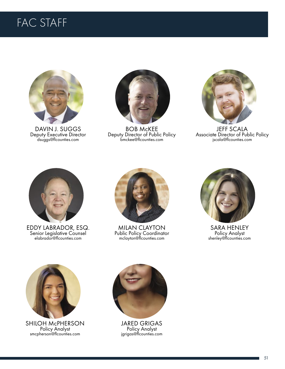## FAC STAFF



DAVIN J. SUGGS Deputy Executive Director dsuggs@flcounties.com



BOB McKEE Deputy Director of Public Policy bmckee@flcounties.com



JEFF SCALA Associate Director of Public Policy jscala@flcounties.com



EDDY LABRADOR, ESQ. Senior Legislative Counsel elabrador@flcounties.com



MILAN CLAYTON Public Policy Coordinator mclayton@flcounties.com



**SARA HENLEY**<br>Policy Analyst shenley@flcounties.com



SHILOH McPHERSON Policy Analyst smcpherson@flcounties.com



JARED GRIGAS<br>Policy Analyst jgrigas@flcounties.com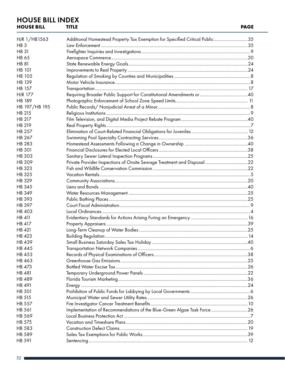#### **HOUSE BILL INDEX HOUSE BILL TITLE**

| HJR 1/HB1563    | Additional Homestead Property Tax Exemption for Specified Critical Public35 |  |
|-----------------|-----------------------------------------------------------------------------|--|
| HB <sub>3</sub> |                                                                             |  |
| <b>HB 31</b>    |                                                                             |  |
| <b>HB 65</b>    |                                                                             |  |
| <b>HB 81</b>    |                                                                             |  |
| <b>HB 101</b>   |                                                                             |  |
| <b>HB 105</b>   |                                                                             |  |
| <b>HB 139</b>   |                                                                             |  |
| <b>HB 157</b>   |                                                                             |  |
| <b>HJR 177</b>  |                                                                             |  |
| <b>HB 189</b>   |                                                                             |  |
| HB 197/HB 195   |                                                                             |  |
| HB 215          |                                                                             |  |
| HB 217          |                                                                             |  |
| HB 219          |                                                                             |  |
| <b>HB 257</b>   |                                                                             |  |
| HB 267          |                                                                             |  |
| HB 283          |                                                                             |  |
| <b>HB 301</b>   |                                                                             |  |
| <b>HB303</b>    |                                                                             |  |
| <b>HB309</b>    |                                                                             |  |
| <b>HB 323</b>   |                                                                             |  |
| HB 325          |                                                                             |  |
| HB 329          |                                                                             |  |
| <b>HB 345</b>   |                                                                             |  |
| <b>HB 349</b>   |                                                                             |  |
| <b>HB 393</b>   |                                                                             |  |
| HB 397          |                                                                             |  |
| HB 403          |                                                                             |  |
| HB 411          |                                                                             |  |
| HB 417          |                                                                             |  |
| HB 421          |                                                                             |  |
| <b>HB 423</b>   |                                                                             |  |
| HB 439          |                                                                             |  |
| <b>HB 445</b>   |                                                                             |  |
| HB 453          |                                                                             |  |
| HB 463          |                                                                             |  |
| HB 473          |                                                                             |  |
| <b>HB 481</b>   |                                                                             |  |
| <b>HB 489</b>   |                                                                             |  |
| HB 491          |                                                                             |  |
| <b>HB 501</b>   |                                                                             |  |
| HB 515          |                                                                             |  |
| <b>HB 557</b>   |                                                                             |  |
| HB 561          | Implementation of Recommendations of the Blue-Green Algae Task Force 26     |  |
| HB 569          |                                                                             |  |
| HB 575          |                                                                             |  |
| <b>HB 583</b>   |                                                                             |  |
| <b>HB 589</b>   |                                                                             |  |
| HB 591          |                                                                             |  |
|                 |                                                                             |  |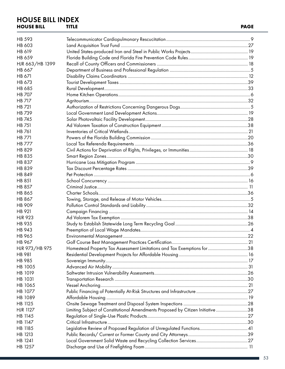#### **HOUSE BILL INDEX**<br>HOUSE BILL TITLE **HOUSE BILL TITLE PAGE**

| HB 593                   |                                                                                 |  |
|--------------------------|---------------------------------------------------------------------------------|--|
| <b>HB 603</b>            |                                                                                 |  |
| HB 619                   |                                                                                 |  |
| HB 659                   |                                                                                 |  |
| HJR 663/HB 1399          |                                                                                 |  |
| HB 667                   |                                                                                 |  |
| HB 671                   |                                                                                 |  |
| HB 673                   |                                                                                 |  |
| <b>HB 685</b>            |                                                                                 |  |
| <b>HB 707</b>            |                                                                                 |  |
| <b>HB 717</b>            |                                                                                 |  |
| <b>HB 721</b>            |                                                                                 |  |
| <b>HB 739</b>            |                                                                                 |  |
| <b>HB 745</b>            |                                                                                 |  |
| <b>HB 751</b>            |                                                                                 |  |
| <b>HB 761</b>            |                                                                                 |  |
| <b>HB 771</b>            |                                                                                 |  |
| <b>HB 777</b>            |                                                                                 |  |
| HB 829                   |                                                                                 |  |
| HB 835                   |                                                                                 |  |
| <b>HB 837</b>            |                                                                                 |  |
| <b>HB 839</b>            |                                                                                 |  |
| HB 849                   |                                                                                 |  |
| <b>HB 851</b>            |                                                                                 |  |
| <b>HB 857</b>            |                                                                                 |  |
| <b>HB 865</b>            |                                                                                 |  |
| HB 867                   |                                                                                 |  |
| HB 909                   |                                                                                 |  |
| HB 921                   |                                                                                 |  |
| <b>HJR 923</b>           |                                                                                 |  |
| HB 935                   |                                                                                 |  |
| <b>HB 943</b>            |                                                                                 |  |
| <b>HB 965</b>            |                                                                                 |  |
| <b>HB 967</b>            |                                                                                 |  |
|                          | Homestead Property Tax Assessment Limitations and Tax Exemptions for 38         |  |
| HJR 973/HB 975<br>HB 981 |                                                                                 |  |
| HB 985                   |                                                                                 |  |
| HB 1005                  |                                                                                 |  |
| HB 1019                  |                                                                                 |  |
| HB 1031                  |                                                                                 |  |
| HB 1065                  |                                                                                 |  |
| HB 1077                  |                                                                                 |  |
| HB 1089                  |                                                                                 |  |
| HB 1125                  |                                                                                 |  |
| <b>HJR 1127</b>          |                                                                                 |  |
| HB 1145                  | Limiting Subject of Constitutional Amendments Proposed by Citizen Initiative 38 |  |
| HB 1147                  |                                                                                 |  |
| HB 1185                  |                                                                                 |  |
|                          |                                                                                 |  |
| HB 1213<br>HB 1241       |                                                                                 |  |
|                          |                                                                                 |  |
| HB 1257                  |                                                                                 |  |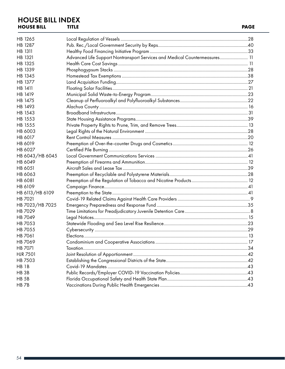#### **HOUSE BILL INDEX**<br>HOUSE BILL TITLE **HOUSE BILL TITLE PAGE**

| HB 1265          |                                                                            |  |
|------------------|----------------------------------------------------------------------------|--|
| HB 1287          |                                                                            |  |
| HB 1311          |                                                                            |  |
| HB 1321          | Advanced Life Support Nontransport Services and Medical Countermeasures 11 |  |
| HB 1325          |                                                                            |  |
| HB 1339          |                                                                            |  |
| HB 1345          |                                                                            |  |
| HB 1377          |                                                                            |  |
| HB 1411          |                                                                            |  |
| HB 1419          |                                                                            |  |
| HB 1475          |                                                                            |  |
| HB 1493          |                                                                            |  |
| HB 1543          |                                                                            |  |
| HB 1553          |                                                                            |  |
| HB 1555          |                                                                            |  |
| HB 6003          |                                                                            |  |
| HB 6017          |                                                                            |  |
| HB 6019          |                                                                            |  |
| HB 6027          |                                                                            |  |
| HB 6043/HB 6045  |                                                                            |  |
| HB 6049          |                                                                            |  |
| HB 6051          |                                                                            |  |
| HB 6063          |                                                                            |  |
| HB 6081          |                                                                            |  |
| HB 6109          |                                                                            |  |
| HB 6113/HB 6109  |                                                                            |  |
| HB 7021          |                                                                            |  |
| HB 7023/HB 7025  |                                                                            |  |
| HB 7029          |                                                                            |  |
| HB 7049          |                                                                            |  |
| HB 7053          |                                                                            |  |
| HB 7055          |                                                                            |  |
| HB 7061          |                                                                            |  |
| HB 7069          |                                                                            |  |
| HB 7071          |                                                                            |  |
| <b>HJR 7501</b>  |                                                                            |  |
| HB 7503          |                                                                            |  |
| HB <sub>1B</sub> |                                                                            |  |
| HB <sub>3B</sub> |                                                                            |  |
| HB <sub>5B</sub> |                                                                            |  |
| HB <sub>7B</sub> |                                                                            |  |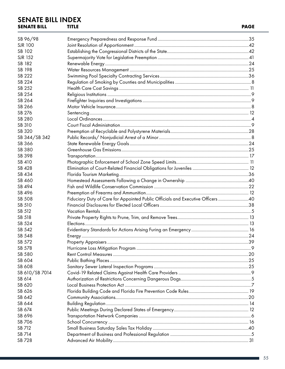#### **SENATE BILL INDEX SENATE BILL TITLE**

| SB 96/98         |                                                                                 |     |
|------------------|---------------------------------------------------------------------------------|-----|
| <b>SJR 100</b>   |                                                                                 |     |
| SB 102           |                                                                                 |     |
| <b>SJR 152</b>   |                                                                                 |     |
| SB 182           |                                                                                 |     |
| SB 198           |                                                                                 |     |
| SB 222           |                                                                                 |     |
| SB 224           |                                                                                 |     |
| SB 252           |                                                                                 |     |
| SB 254           |                                                                                 |     |
| SB 264           |                                                                                 |     |
| SB 266           |                                                                                 |     |
| SB 276           |                                                                                 |     |
| SB 280           |                                                                                 |     |
| SB 310           |                                                                                 |     |
| SB 320           |                                                                                 |     |
| SB 344/SB 342    |                                                                                 |     |
| SB 366           |                                                                                 |     |
|                  |                                                                                 |     |
| SB 380           |                                                                                 |     |
| SB 398           |                                                                                 |     |
| SB 410<br>SB 428 |                                                                                 |     |
|                  |                                                                                 |     |
| SB 434           |                                                                                 |     |
| SB 460           |                                                                                 |     |
| SB 494           |                                                                                 |     |
| SB 496           |                                                                                 |     |
| SB 508           | Fiduciary Duty of Care for Appointed Public Officials and Executive Officers 40 |     |
| SB 510           |                                                                                 |     |
| SB 512           |                                                                                 |     |
| SB 518           |                                                                                 |     |
| SB 524           |                                                                                 |     |
| SB 542           |                                                                                 |     |
| SB 548           |                                                                                 |     |
| SB 572           | <b>Property Appraisers.</b>                                                     | .39 |
| SB 578           |                                                                                 |     |
| SB 580           |                                                                                 |     |
| SB 604           |                                                                                 |     |
| SB 608           |                                                                                 |     |
| SB 610/SB 7014   |                                                                                 |     |
| SB 614           |                                                                                 |     |
| SB 620           |                                                                                 |     |
| SB 626           |                                                                                 |     |
| SB 642           |                                                                                 |     |
| SB 644           |                                                                                 |     |
| SB 674           |                                                                                 |     |
| SB 696           |                                                                                 |     |
| SB 706           |                                                                                 |     |
| SB 712           |                                                                                 |     |
| SB 714           |                                                                                 |     |
| SB 728           |                                                                                 |     |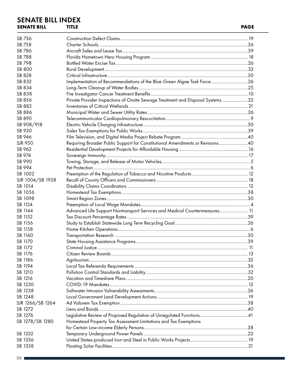#### **SENATE BILL INDEX**<br>SENATE BILL TITLE **SENATE BILL TITLE PAGE**

| SB 736           |                                                                                |  |
|------------------|--------------------------------------------------------------------------------|--|
| SB 758           |                                                                                |  |
| SB 786           |                                                                                |  |
| SB 788           |                                                                                |  |
| SB 798           |                                                                                |  |
| SB 800           |                                                                                |  |
| SB 828           |                                                                                |  |
| SB 832           | Implementation of Recommendations of the Blue-Green Algae Task Force 26        |  |
| SB 834           |                                                                                |  |
| SB 838           |                                                                                |  |
| SB 856           | Private Provider Inspections of Onsite Sewage Treatment and Disposal Systems22 |  |
| SB 882           |                                                                                |  |
| SB 886           |                                                                                |  |
| SB 890           |                                                                                |  |
| SB 908/918       |                                                                                |  |
| SB 930           |                                                                                |  |
| SB 946           |                                                                                |  |
| <b>SJR 950</b>   | Requiring Broader Public Support for Constitutional Amendments or Revisions40  |  |
| SB 962           |                                                                                |  |
| SB 974           |                                                                                |  |
| SB 990           |                                                                                |  |
| SB 994           |                                                                                |  |
| SB 1002          |                                                                                |  |
| SJR 1004/SB 1938 |                                                                                |  |
| SB 1014          |                                                                                |  |
| SB 1056          |                                                                                |  |
| SB 1098          |                                                                                |  |
| SB 1124          |                                                                                |  |
| SB 1144          | Advanced Life Support Nontransport Services and Medical Countermeasures 11     |  |
| SB 1152          |                                                                                |  |
| SB 1156          |                                                                                |  |
| SB 1158          |                                                                                |  |
| SB 1160          |                                                                                |  |
| SB 1170          |                                                                                |  |
| SB 1172          |                                                                                |  |
| SB 1176          |                                                                                |  |
| SB 1186          |                                                                                |  |
| SB 1194          |                                                                                |  |
| SB 1210          |                                                                                |  |
| SB 1216          |                                                                                |  |
| SB 1230          |                                                                                |  |
| SB 1238          |                                                                                |  |
| SB 1248          |                                                                                |  |
| SJR 1266/SB 1264 |                                                                                |  |
| SB 1272          |                                                                                |  |
| SB 1276          |                                                                                |  |
| SB 1278/SB 1280  |                                                                                |  |
|                  | Homestead Property Tax Assessment Limitations and Tax Exemptions               |  |
| SB 1332          |                                                                                |  |
|                  |                                                                                |  |
| SB 1336          |                                                                                |  |
| SB 1338          |                                                                                |  |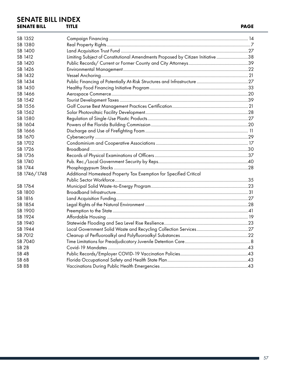#### **SENATE BILL INDEX**<br>SENATE BILL TITLE **SENATE BILL TITLE PAGE**

| SB 1352           |                                                                                 |  |
|-------------------|---------------------------------------------------------------------------------|--|
| SB 1380           |                                                                                 |  |
| SB 1400           |                                                                                 |  |
| SB 1412           | Limiting Subject of Constitutional Amendments Proposed by Citizen Initiative 38 |  |
| SB 1420           |                                                                                 |  |
| SB 1426           |                                                                                 |  |
| SB 1432           |                                                                                 |  |
| SB 1434           |                                                                                 |  |
| SB 1450           |                                                                                 |  |
| SB 1466           |                                                                                 |  |
| SB 1542           |                                                                                 |  |
| SB 1556           |                                                                                 |  |
| SB 1562           |                                                                                 |  |
| SB 1580           |                                                                                 |  |
| SB 1604           |                                                                                 |  |
| SB 1666           |                                                                                 |  |
| SB 1670           |                                                                                 |  |
| SB 1702           |                                                                                 |  |
| SB 1726           |                                                                                 |  |
| SB 1736           |                                                                                 |  |
| SB 1740           |                                                                                 |  |
| SB 1744           |                                                                                 |  |
| SB 1746/1748      | Additional Homestead Property Tax Exemption for Specified Critical              |  |
|                   |                                                                                 |  |
| SB 1764           |                                                                                 |  |
| SB 1800           |                                                                                 |  |
| SB 1816           |                                                                                 |  |
| SB 1854           |                                                                                 |  |
| SB 1900           |                                                                                 |  |
| SB 1924           |                                                                                 |  |
| SB 1940           |                                                                                 |  |
| SB 1944           |                                                                                 |  |
| SB 7012           |                                                                                 |  |
| SB 7040           |                                                                                 |  |
| SB <sub>2B</sub>  |                                                                                 |  |
| SB <sub>4</sub> B |                                                                                 |  |
| SB <sub>6</sub> B |                                                                                 |  |
| SB <sub>8B</sub>  |                                                                                 |  |
|                   |                                                                                 |  |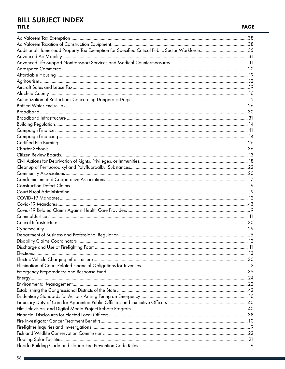#### **BILL SUBJECT INDEX TITLE**

| Additional Homestead Property Tax Exemption for Specified Critical Public Sector Workforce35 |  |
|----------------------------------------------------------------------------------------------|--|
|                                                                                              |  |
|                                                                                              |  |
|                                                                                              |  |
|                                                                                              |  |
|                                                                                              |  |
|                                                                                              |  |
|                                                                                              |  |
|                                                                                              |  |
|                                                                                              |  |
|                                                                                              |  |
|                                                                                              |  |
|                                                                                              |  |
|                                                                                              |  |
|                                                                                              |  |
|                                                                                              |  |
|                                                                                              |  |
|                                                                                              |  |
|                                                                                              |  |
|                                                                                              |  |
|                                                                                              |  |
|                                                                                              |  |
|                                                                                              |  |
|                                                                                              |  |
|                                                                                              |  |
|                                                                                              |  |
|                                                                                              |  |
|                                                                                              |  |
|                                                                                              |  |
|                                                                                              |  |
|                                                                                              |  |
|                                                                                              |  |
|                                                                                              |  |
|                                                                                              |  |
|                                                                                              |  |
|                                                                                              |  |
|                                                                                              |  |
|                                                                                              |  |
|                                                                                              |  |
|                                                                                              |  |
|                                                                                              |  |
|                                                                                              |  |
|                                                                                              |  |
|                                                                                              |  |
|                                                                                              |  |
|                                                                                              |  |
|                                                                                              |  |
|                                                                                              |  |
|                                                                                              |  |
|                                                                                              |  |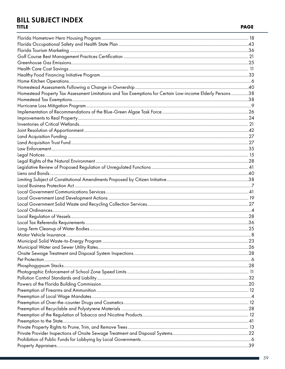#### **BILL SUBJECT INDEX TITLE**

| Homestead Property Tax Assessment Limitations and Tax Exemptions for Certain Low-income Elderly Persons38 |  |
|-----------------------------------------------------------------------------------------------------------|--|
|                                                                                                           |  |
|                                                                                                           |  |
|                                                                                                           |  |
|                                                                                                           |  |
|                                                                                                           |  |
|                                                                                                           |  |
|                                                                                                           |  |
|                                                                                                           |  |
|                                                                                                           |  |
|                                                                                                           |  |
|                                                                                                           |  |
|                                                                                                           |  |
|                                                                                                           |  |
|                                                                                                           |  |
|                                                                                                           |  |
|                                                                                                           |  |
|                                                                                                           |  |
|                                                                                                           |  |
|                                                                                                           |  |
|                                                                                                           |  |
|                                                                                                           |  |
|                                                                                                           |  |
|                                                                                                           |  |
|                                                                                                           |  |
|                                                                                                           |  |
|                                                                                                           |  |
|                                                                                                           |  |
|                                                                                                           |  |
|                                                                                                           |  |
|                                                                                                           |  |
|                                                                                                           |  |
|                                                                                                           |  |
|                                                                                                           |  |
|                                                                                                           |  |
|                                                                                                           |  |
|                                                                                                           |  |
|                                                                                                           |  |
|                                                                                                           |  |
|                                                                                                           |  |
|                                                                                                           |  |
|                                                                                                           |  |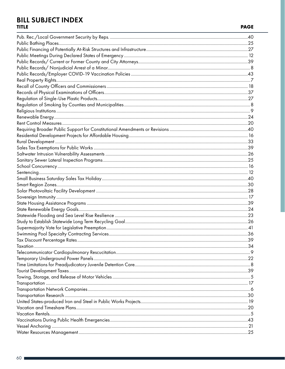#### **BILL SUBJECT INDEX TITLE**